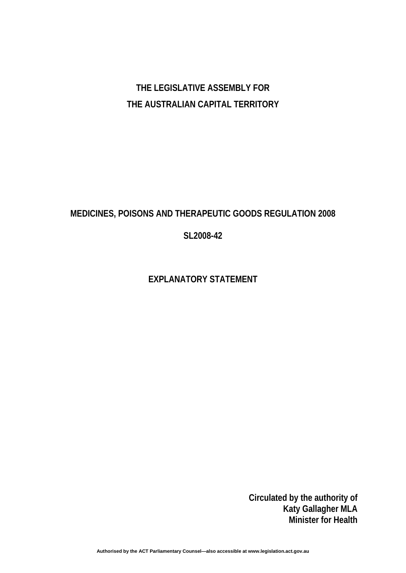# **THE LEGISLATIVE ASSEMBLY FOR THE AUSTRALIAN CAPITAL TERRITORY**

# **MEDICINES, POISONS AND THERAPEUTIC GOODS REGULATION 2008**

# **SL2008-42**

# **EXPLANATORY STATEMENT**

**Circulated by the authority of Katy Gallagher MLA Minister for Health**

**Authorised by the ACT Parliamentary Counsel—also accessible at www.legislation.act.gov.au**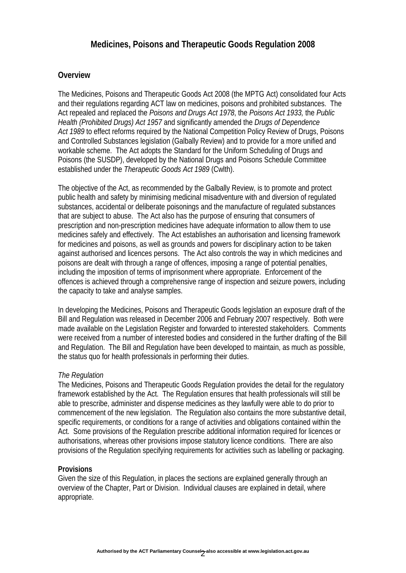# **Medicines, Poisons and Therapeutic Goods Regulation 2008**

### **Overview**

The Medicines, Poisons and Therapeutic Goods Act 2008 (the MPTG Act) consolidated four Acts and their regulations regarding ACT law on medicines, poisons and prohibited substances. The Act repealed and replaced the *Poisons and Drugs Act 1978*, the *Poisons Act 1933,* the *Public Health (Prohibited Drugs) Act 1957* and significantly amended the *Drugs of Dependence Act 1989* to effect reforms required by the National Competition Policy Review of Drugs, Poisons and Controlled Substances legislation (Galbally Review) and to provide for a more unified and workable scheme. The Act adopts the Standard for the Uniform Scheduling of Drugs and Poisons (the SUSDP), developed by the National Drugs and Poisons Schedule Committee established under the *Therapeutic Goods Act 1989* (Cwlth).

The objective of the Act, as recommended by the Galbally Review, is to promote and protect public health and safety by minimising medicinal misadventure with and diversion of regulated substances, accidental or deliberate poisonings and the manufacture of regulated substances that are subject to abuse. The Act also has the purpose of ensuring that consumers of prescription and non-prescription medicines have adequate information to allow them to use medicines safely and effectively. The Act establishes an authorisation and licensing framework for medicines and poisons, as well as grounds and powers for disciplinary action to be taken against authorised and licences persons. The Act also controls the way in which medicines and poisons are dealt with through a range of offences, imposing a range of potential penalties, including the imposition of terms of imprisonment where appropriate. Enforcement of the offences is achieved through a comprehensive range of inspection and seizure powers, including the capacity to take and analyse samples.

In developing the Medicines, Poisons and Therapeutic Goods legislation an exposure draft of the Bill and Regulation was released in December 2006 and February 2007 respectively. Both were made available on the Legislation Register and forwarded to interested stakeholders. Comments were received from a number of interested bodies and considered in the further drafting of the Bill and Regulation. The Bill and Regulation have been developed to maintain, as much as possible, the status quo for health professionals in performing their duties.

#### *The Regulation*

The Medicines, Poisons and Therapeutic Goods Regulation provides the detail for the regulatory framework established by the Act. The Regulation ensures that health professionals will still be able to prescribe, administer and dispense medicines as they lawfully were able to do prior to commencement of the new legislation. The Regulation also contains the more substantive detail, specific requirements, or conditions for a range of activities and obligations contained within the Act. Some provisions of the Regulation prescribe additional information required for licences or authorisations, whereas other provisions impose statutory licence conditions. There are also provisions of the Regulation specifying requirements for activities such as labelling or packaging.

#### **Provisions**

Given the size of this Regulation, in places the sections are explained generally through an overview of the Chapter, Part or Division. Individual clauses are explained in detail, where appropriate.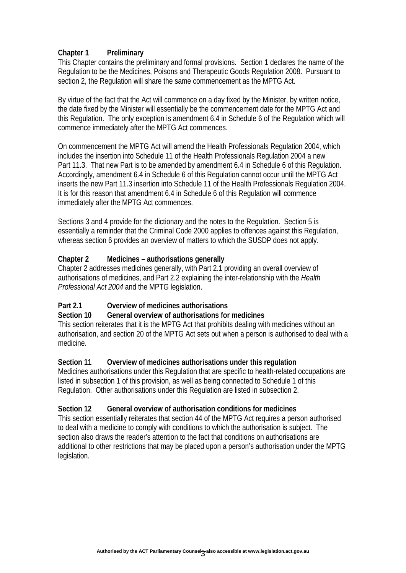### **Chapter 1 Preliminary**

This Chapter contains the preliminary and formal provisions. Section 1 declares the name of the Regulation to be the Medicines, Poisons and Therapeutic Goods Regulation 2008. Pursuant to section 2, the Regulation will share the same commencement as the MPTG Act.

By virtue of the fact that the Act will commence on a day fixed by the Minister, by written notice, the date fixed by the Minister will essentially be the commencement date for the MPTG Act and this Regulation. The only exception is amendment 6.4 in Schedule 6 of the Regulation which will commence immediately after the MPTG Act commences.

On commencement the MPTG Act will amend the Health Professionals Regulation 2004, which includes the insertion into Schedule 11 of the Health Professionals Regulation 2004 a new Part 11.3. That new Part is to be amended by amendment 6.4 in Schedule 6 of this Regulation. Accordingly, amendment 6.4 in Schedule 6 of this Regulation cannot occur until the MPTG Act inserts the new Part 11.3 insertion into Schedule 11 of the Health Professionals Regulation 2004. It is for this reason that amendment 6.4 in Schedule 6 of this Regulation will commence immediately after the MPTG Act commences.

Sections 3 and 4 provide for the dictionary and the notes to the Regulation. Section 5 is essentially a reminder that the Criminal Code 2000 applies to offences against this Regulation, whereas section 6 provides an overview of matters to which the SUSDP does not apply.

## **Chapter 2 Medicines – authorisations generally**

Chapter 2 addresses medicines generally, with Part 2.1 providing an overall overview of authorisations of medicines, and Part 2.2 explaining the inter-relationship with the *Health Professional Act 2004* and the MPTG legislation.

## **Part 2.1 Overview of medicines authorisations**

#### **Section 10 General overview of authorisations for medicines**

This section reiterates that it is the MPTG Act that prohibits dealing with medicines without an authorisation, and section 20 of the MPTG Act sets out when a person is authorised to deal with a medicine.

#### **Section 11 Overview of medicines authorisations under this regulation**

Medicines authorisations under this Regulation that are specific to health-related occupations are listed in subsection 1 of this provision, as well as being connected to Schedule 1 of this Regulation. Other authorisations under this Regulation are listed in subsection 2.

#### **Section 12 General overview of authorisation conditions for medicines**

This section essentially reiterates that section 44 of the MPTG Act requires a person authorised to deal with a medicine to comply with conditions to which the authorisation is subject. The section also draws the reader's attention to the fact that conditions on authorisations are additional to other restrictions that may be placed upon a person's authorisation under the MPTG legislation.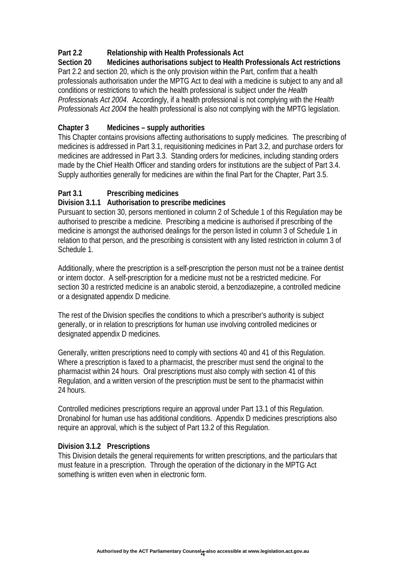# **Part 2.2 Relationship with Health Professionals Act**

**Section 20 Medicines authorisations subject to Health Professionals Act restrictions**  Part 2.2 and section 20, which is the only provision within the Part, confirm that a health professionals authorisation under the MPTG Act to deal with a medicine is subject to any and all conditions or restrictions to which the health professional is subject under the *Health Professionals Act 2004*. Accordingly, if a health professional is not complying with the *Health Professionals Act 2004* the health professional is also not complying with the MPTG legislation.

## **Chapter 3 Medicines – supply authorities**

This Chapter contains provisions affecting authorisations to supply medicines. The prescribing of medicines is addressed in Part 3.1, requisitioning medicines in Part 3.2, and purchase orders for medicines are addressed in Part 3.3. Standing orders for medicines, including standing orders made by the Chief Health Officer and standing orders for institutions are the subject of Part 3.4. Supply authorities generally for medicines are within the final Part for the Chapter, Part 3.5.

# **Part 3.1 Prescribing medicines**

## **Division 3.1.1 Authorisation to prescribe medicines**

Pursuant to section 30, persons mentioned in column 2 of Schedule 1 of this Regulation may be authorised to prescribe a medicine. Prescribing a medicine is authorised if prescribing of the medicine is amongst the authorised dealings for the person listed in column 3 of Schedule 1 in relation to that person, and the prescribing is consistent with any listed restriction in column 3 of Schedule 1.

Additionally, where the prescription is a self-prescription the person must not be a trainee dentist or intern doctor. A self-prescription for a medicine must not be a restricted medicine. For section 30 a restricted medicine is an anabolic steroid, a benzodiazepine, a controlled medicine or a designated appendix D medicine.

The rest of the Division specifies the conditions to which a prescriber's authority is subject generally, or in relation to prescriptions for human use involving controlled medicines or designated appendix D medicines.

Generally, written prescriptions need to comply with sections 40 and 41 of this Regulation. Where a prescription is faxed to a pharmacist, the prescriber must send the original to the pharmacist within 24 hours. Oral prescriptions must also comply with section 41 of this Regulation, and a written version of the prescription must be sent to the pharmacist within 24 hours.

Controlled medicines prescriptions require an approval under Part 13.1 of this Regulation. Dronabinol for human use has additional conditions. Appendix D medicines prescriptions also require an approval, which is the subject of Part 13.2 of this Regulation.

#### **Division 3.1.2 Prescriptions**

This Division details the general requirements for written prescriptions, and the particulars that must feature in a prescription. Through the operation of the dictionary in the MPTG Act something is written even when in electronic form.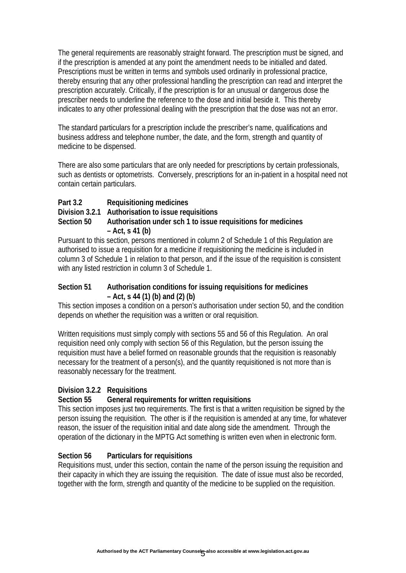The general requirements are reasonably straight forward. The prescription must be signed, and if the prescription is amended at any point the amendment needs to be initialled and dated. Prescriptions must be written in terms and symbols used ordinarily in professional practice, thereby ensuring that any other professional handling the prescription can read and interpret the prescription accurately. Critically, if the prescription is for an unusual or dangerous dose the prescriber needs to underline the reference to the dose and initial beside it. This thereby indicates to any other professional dealing with the prescription that the dose was not an error.

The standard particulars for a prescription include the prescriber's name, qualifications and business address and telephone number, the date, and the form, strength and quantity of medicine to be dispensed.

There are also some particulars that are only needed for prescriptions by certain professionals, such as dentists or optometrists. Conversely, prescriptions for an in-patient in a hospital need not contain certain particulars.

**Part 3.2 Requisitioning medicines** 

**Division 3.2.1 Authorisation to issue requisitions** 

# **Section 50 Authorisation under sch 1 to issue requisitions for medicines – Act, s 41 (b)**

Pursuant to this section, persons mentioned in column 2 of Schedule 1 of this Regulation are authorised to issue a requisition for a medicine if requisitioning the medicine is included in column 3 of Schedule 1 in relation to that person, and if the issue of the requisition is consistent with any listed restriction in column 3 of Schedule 1.

### **Section 51 Authorisation conditions for issuing requisitions for medicines – Act, s 44 (1) (b) and (2) (b)**

This section imposes a condition on a person's authorisation under section 50, and the condition depends on whether the requisition was a written or oral requisition.

Written requisitions must simply comply with sections 55 and 56 of this Regulation. An oral requisition need only comply with section 56 of this Regulation, but the person issuing the requisition must have a belief formed on reasonable grounds that the requisition is reasonably necessary for the treatment of a person(s), and the quantity requisitioned is not more than is reasonably necessary for the treatment.

## **Division 3.2.2 Requisitions**

## **Section 55 General requirements for written requisitions**

This section imposes just two requirements. The first is that a written requisition be signed by the person issuing the requisition. The other is if the requisition is amended at any time, for whatever reason, the issuer of the requisition initial and date along side the amendment. Through the operation of the dictionary in the MPTG Act something is written even when in electronic form.

## **Section 56 Particulars for requisitions**

Requisitions must, under this section, contain the name of the person issuing the requisition and their capacity in which they are issuing the requisition. The date of issue must also be recorded, together with the form, strength and quantity of the medicine to be supplied on the requisition.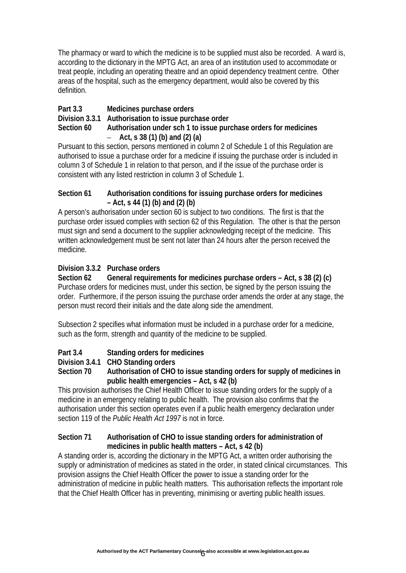The pharmacy or ward to which the medicine is to be supplied must also be recorded. A ward is, according to the dictionary in the MPTG Act, an area of an institution used to accommodate or treat people, including an operating theatre and an opioid dependency treatment centre. Other areas of the hospital, such as the emergency department, would also be covered by this definition.

# **Part 3.3 Medicines purchase orders**

### **Division 3.3.1 Authorisation to issue purchase order**

#### **Section 60 Authorisation under sch 1 to issue purchase orders for medicines**  – **Act, s 38 (1) (b) and (2) (a)**

Pursuant to this section, persons mentioned in column 2 of Schedule 1 of this Regulation are authorised to issue a purchase order for a medicine if issuing the purchase order is included in column 3 of Schedule 1 in relation to that person, and if the issue of the purchase order is consistent with any listed restriction in column 3 of Schedule 1.

#### **Section 61 Authorisation conditions for issuing purchase orders for medicines – Act, s 44 (1) (b) and (2) (b)**

A person's authorisation under section 60 is subject to two conditions. The first is that the purchase order issued complies with section 62 of this Regulation. The other is that the person must sign and send a document to the supplier acknowledging receipt of the medicine. This written acknowledgement must be sent not later than 24 hours after the person received the medicine.

## **Division 3.3.2 Purchase orders**

**Section 62 General requirements for medicines purchase orders – Act, s 38 (2) (c)**  Purchase orders for medicines must, under this section, be signed by the person issuing the order. Furthermore, if the person issuing the purchase order amends the order at any stage, the person must record their initials and the date along side the amendment.

Subsection 2 specifies what information must be included in a purchase order for a medicine, such as the form, strength and quantity of the medicine to be supplied.

# **Part 3.4 Standing orders for medicines**

## **Division 3.4.1 CHO Standing orders**

### **Section 70 Authorisation of CHO to issue standing orders for supply of medicines in public health emergencies – Act, s 42 (b)**

This provision authorises the Chief Health Officer to issue standing orders for the supply of a medicine in an emergency relating to public health. The provision also confirms that the authorisation under this section operates even if a public health emergency declaration under section 119 of the *Public Health Act 1997* is not in force.

### **Section 71 Authorisation of CHO to issue standing orders for administration of medicines in public health matters – Act, s 42 (b)**

A standing order is, according the dictionary in the MPTG Act, a written order authorising the supply or administration of medicines as stated in the order, in stated clinical circumstances. This provision assigns the Chief Health Officer the power to issue a standing order for the administration of medicine in public health matters. This authorisation reflects the important role that the Chief Health Officer has in preventing, minimising or averting public health issues.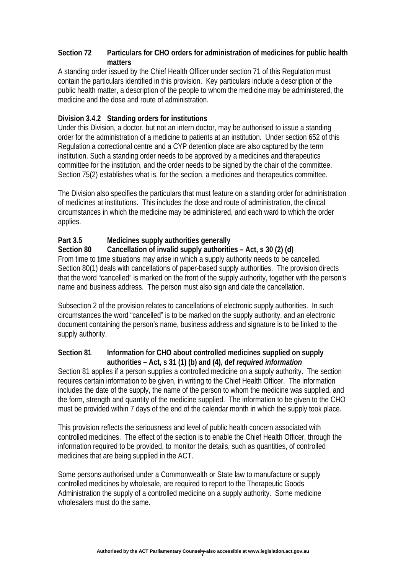### **Section 72 Particulars for CHO orders for administration of medicines for public health matters**

A standing order issued by the Chief Health Officer under section 71 of this Regulation must contain the particulars identified in this provision. Key particulars include a description of the public health matter, a description of the people to whom the medicine may be administered, the medicine and the dose and route of administration.

### **Division 3.4.2 Standing orders for institutions**

Under this Division, a doctor, but not an intern doctor, may be authorised to issue a standing order for the administration of a medicine to patients at an institution. Under section 652 of this Regulation a correctional centre and a CYP detention place are also captured by the term institution. Such a standing order needs to be approved by a medicines and therapeutics committee for the institution, and the order needs to be signed by the chair of the committee. Section 75(2) establishes what is, for the section, a medicines and therapeutics committee.

The Division also specifies the particulars that must feature on a standing order for administration of medicines at institutions. This includes the dose and route of administration, the clinical circumstances in which the medicine may be administered, and each ward to which the order applies.

### **Part 3.5 Medicines supply authorities generally**

#### **Section 80 Cancellation of invalid supply authorities – Act, s 30 (2) (d)**

From time to time situations may arise in which a supply authority needs to be cancelled. Section 80(1) deals with cancellations of paper-based supply authorities. The provision directs that the word "cancelled" is marked on the front of the supply authority, together with the person's name and business address. The person must also sign and date the cancellation.

Subsection 2 of the provision relates to cancellations of electronic supply authorities. In such circumstances the word "cancelled" is to be marked on the supply authority, and an electronic document containing the person's name, business address and signature is to be linked to the supply authority.

#### **Section 81 Information for CHO about controlled medicines supplied on supply authorities – Act, s 31 (1) (b) and (4), def** *required information*

Section 81 applies if a person supplies a controlled medicine on a supply authority. The section requires certain information to be given, in writing to the Chief Health Officer. The information includes the date of the supply, the name of the person to whom the medicine was supplied, and the form, strength and quantity of the medicine supplied. The information to be given to the CHO must be provided within 7 days of the end of the calendar month in which the supply took place.

This provision reflects the seriousness and level of public health concern associated with controlled medicines. The effect of the section is to enable the Chief Health Officer, through the information required to be provided, to monitor the details, such as quantities, of controlled medicines that are being supplied in the ACT.

Some persons authorised under a Commonwealth or State law to manufacture or supply controlled medicines by wholesale, are required to report to the Therapeutic Goods Administration the supply of a controlled medicine on a supply authority. Some medicine wholesalers must do the same.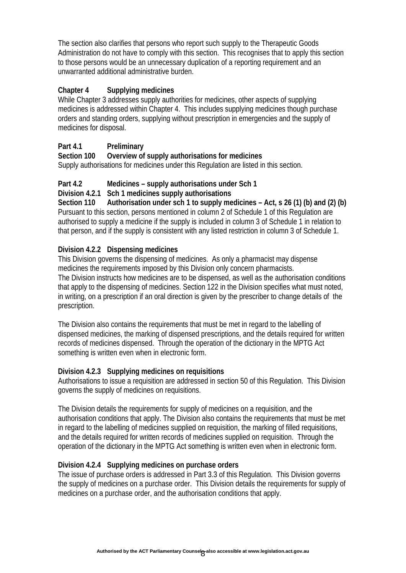The section also clarifies that persons who report such supply to the Therapeutic Goods Administration do not have to comply with this section. This recognises that to apply this section to those persons would be an unnecessary duplication of a reporting requirement and an unwarranted additional administrative burden.

# **Chapter 4 Supplying medicines**

While Chapter 3 addresses supply authorities for medicines, other aspects of supplying medicines is addressed within Chapter 4. This includes supplying medicines though purchase orders and standing orders, supplying without prescription in emergencies and the supply of medicines for disposal.

# **Part 4.1 Preliminary**

## **Section 100 Overview of supply authorisations for medicines**

Supply authorisations for medicines under this Regulation are listed in this section.

### **Part 4.2 Medicines – supply authorisations under Sch 1**

### **Division 4.2.1 Sch 1 medicines supply authorisations**

**Section 110 Authorisation under sch 1 to supply medicines – Act, s 26 (1) (b) and (2) (b)**  Pursuant to this section, persons mentioned in column 2 of Schedule 1 of this Regulation are authorised to supply a medicine if the supply is included in column 3 of Schedule 1 in relation to that person, and if the supply is consistent with any listed restriction in column 3 of Schedule 1.

## **Division 4.2.2 Dispensing medicines**

This Division governs the dispensing of medicines. As only a pharmacist may dispense medicines the requirements imposed by this Division only concern pharmacists. The Division instructs how medicines are to be dispensed, as well as the authorisation conditions that apply to the dispensing of medicines. Section 122 in the Division specifies what must noted, in writing, on a prescription if an oral direction is given by the prescriber to change details of the prescription.

The Division also contains the requirements that must be met in regard to the labelling of dispensed medicines, the marking of dispensed prescriptions, and the details required for written records of medicines dispensed. Through the operation of the dictionary in the MPTG Act something is written even when in electronic form.

## **Division 4.2.3 Supplying medicines on requisitions**

Authorisations to issue a requisition are addressed in section 50 of this Regulation. This Division governs the supply of medicines on requisitions.

The Division details the requirements for supply of medicines on a requisition, and the authorisation conditions that apply. The Division also contains the requirements that must be met in regard to the labelling of medicines supplied on requisition, the marking of filled requisitions, and the details required for written records of medicines supplied on requisition.Through the operation of the dictionary in the MPTG Act something is written even when in electronic form.

#### **Division 4.2.4 Supplying medicines on purchase orders**

The issue of purchase orders is addressed in Part 3.3 of this Regulation. This Division governs the supply of medicines on a purchase order. This Division details the requirements for supply of medicines on a purchase order, and the authorisation conditions that apply.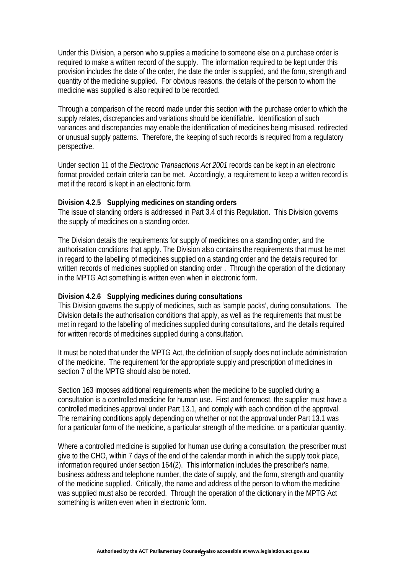Under this Division, a person who supplies a medicine to someone else on a purchase order is required to make a written record of the supply. The information required to be kept under this provision includes the date of the order, the date the order is supplied, and the form, strength and quantity of the medicine supplied. For obvious reasons, the details of the person to whom the medicine was supplied is also required to be recorded.

Through a comparison of the record made under this section with the purchase order to which the supply relates, discrepancies and variations should be identifiable. Identification of such variances and discrepancies may enable the identification of medicines being misused, redirected or unusual supply patterns. Therefore, the keeping of such records is required from a regulatory perspective.

Under section 11 of the *Electronic Transactions Act 2001* records can be kept in an electronic format provided certain criteria can be met. Accordingly, a requirement to keep a written record is met if the record is kept in an electronic form.

#### **Division 4.2.5 Supplying medicines on standing orders**

The issue of standing orders is addressed in Part 3.4 of this Regulation. This Division governs the supply of medicines on a standing order.

The Division details the requirements for supply of medicines on a standing order, and the authorisation conditions that apply. The Division also contains the requirements that must be met in regard to the labelling of medicines supplied on a standing order and the details required for written records of medicines supplied on standing order .Through the operation of the dictionary in the MPTG Act something is written even when in electronic form.

#### **Division 4.2.6 Supplying medicines during consultations**

This Division governs the supply of medicines, such as 'sample packs', during consultations. The Division details the authorisation conditions that apply, as well as the requirements that must be met in regard to the labelling of medicines supplied during consultations, and the details required for written records of medicines supplied during a consultation.

It must be noted that under the MPTG Act, the definition of supply does not include administration of the medicine. The requirement for the appropriate supply and prescription of medicines in section 7 of the MPTG should also be noted.

Section 163 imposes additional requirements when the medicine to be supplied during a consultation is a controlled medicine for human use. First and foremost, the supplier must have a controlled medicines approval under Part 13.1, and comply with each condition of the approval. The remaining conditions apply depending on whether or not the approval under Part 13.1 was for a particular form of the medicine, a particular strength of the medicine, or a particular quantity.

Where a controlled medicine is supplied for human use during a consultation, the prescriber must give to the CHO, within 7 days of the end of the calendar month in which the supply took place, information required under section 164(2). This information includes the prescriber's name, business address and telephone number, the date of supply, and the form, strength and quantity of the medicine supplied. Critically, the name and address of the person to whom the medicine was supplied must also be recorded. Through the operation of the dictionary in the MPTG Act something is written even when in electronic form.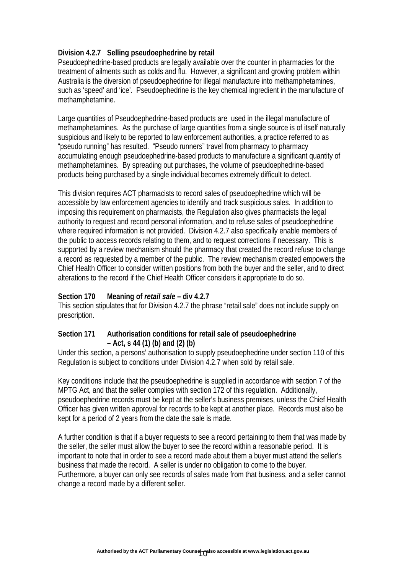### **Division 4.2.7 Selling pseudoephedrine by retail**

Pseudoephedrine-based products are legally available over the counter in pharmacies for the treatment of ailments such as colds and flu. However, a significant and growing problem within Australia is the diversion of pseudoephedrine for illegal manufacture into methamphetamines, such as 'speed' and 'ice'. Pseudoephedrine is the key chemical ingredient in the manufacture of methamphetamine.

Large quantities of Pseudoephedrine-based products are used in the illegal manufacture of methamphetamines. As the purchase of large quantities from a single source is of itself naturally suspicious and likely to be reported to law enforcement authorities, a practice referred to as "pseudo running" has resulted. "Pseudo runners" travel from pharmacy to pharmacy accumulating enough pseudoephedrine-based products to manufacture a significant quantity of methamphetamines. By spreading out purchases, the volume of pseudoephedrine-based products being purchased by a single individual becomes extremely difficult to detect.

This division requires ACT pharmacists to record sales of pseudoephedrine which will be accessible by law enforcement agencies to identify and track suspicious sales. In addition to imposing this requirement on pharmacists, the Regulation also gives pharmacists the legal authority to request and record personal information, and to refuse sales of pseudoephedrine where required information is not provided. Division 4.2.7 also specifically enable members of the public to access records relating to them, and to request corrections if necessary. This is supported by a review mechanism should the pharmacy that created the record refuse to change a record as requested by a member of the public. The review mechanism created empowers the Chief Health Officer to consider written positions from both the buyer and the seller, and to direct alterations to the record if the Chief Health Officer considers it appropriate to do so.

#### **Section 170 Meaning of** *retail sale* **– div 4.2.7**

This section stipulates that for Division 4.2.7 the phrase "retail sale" does not include supply on prescription.

#### **Section 171 Authorisation conditions for retail sale of pseudoephedrine – Act, s 44 (1) (b) and (2) (b)**

Under this section, a persons' authorisation to supply pseudoephedrine under section 110 of this Regulation is subject to conditions under Division 4.2.7 when sold by retail sale.

Key conditions include that the pseudoephedrine is supplied in accordance with section 7 of the MPTG Act, and that the seller complies with section 172 of this regulation. Additionally, pseudoephedrine records must be kept at the seller's business premises, unless the Chief Health Officer has given written approval for records to be kept at another place. Records must also be kept for a period of 2 years from the date the sale is made.

A further condition is that if a buyer requests to see a record pertaining to them that was made by the seller, the seller must allow the buyer to see the record within a reasonable period. It is important to note that in order to see a record made about them a buyer must attend the seller's business that made the record. A seller is under no obligation to come to the buyer. Furthermore, a buyer can only see records of sales made from that business, and a seller cannot change a record made by a different seller.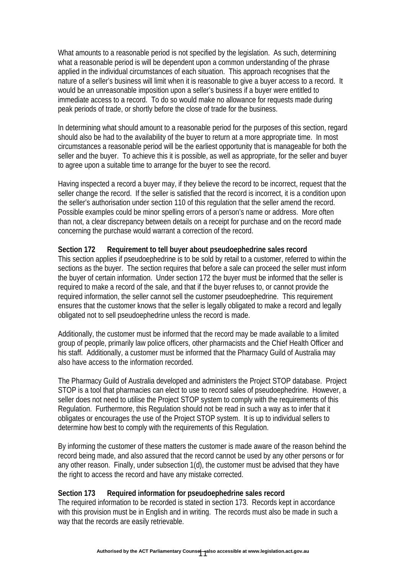What amounts to a reasonable period is not specified by the legislation. As such, determining what a reasonable period is will be dependent upon a common understanding of the phrase applied in the individual circumstances of each situation. This approach recognises that the nature of a seller's business will limit when it is reasonable to give a buyer access to a record. It would be an unreasonable imposition upon a seller's business if a buyer were entitled to immediate access to a record. To do so would make no allowance for requests made during peak periods of trade, or shortly before the close of trade for the business.

In determining what should amount to a reasonable period for the purposes of this section, regard should also be had to the availability of the buyer to return at a more appropriate time. In most circumstances a reasonable period will be the earliest opportunity that is manageable for both the seller and the buyer. To achieve this it is possible, as well as appropriate, for the seller and buyer to agree upon a suitable time to arrange for the buyer to see the record.

Having inspected a record a buyer may, if they believe the record to be incorrect, request that the seller change the record. If the seller is satisfied that the record is incorrect, it is a condition upon the seller's authorisation under section 110 of this regulation that the seller amend the record. Possible examples could be minor spelling errors of a person's name or address. More often than not, a clear discrepancy between details on a receipt for purchase and on the record made concerning the purchase would warrant a correction of the record.

#### **Section 172 Requirement to tell buyer about pseudoephedrine sales record**

This section applies if pseudoephedrine is to be sold by retail to a customer, referred to within the sections as the buyer. The section requires that before a sale can proceed the seller must inform the buyer of certain information. Under section 172 the buyer must be informed that the seller is required to make a record of the sale, and that if the buyer refuses to, or cannot provide the required information, the seller cannot sell the customer pseudoephedrine. This requirement ensures that the customer knows that the seller is legally obligated to make a record and legally obligated not to sell pseudoephedrine unless the record is made.

Additionally, the customer must be informed that the record may be made available to a limited group of people, primarily law police officers, other pharmacists and the Chief Health Officer and his staff. Additionally, a customer must be informed that the Pharmacy Guild of Australia may also have access to the information recorded.

The Pharmacy Guild of Australia developed and administers the Project STOP database. Project STOP is a tool that pharmacies can elect to use to record sales of pseudoephedrine. However, a seller does not need to utilise the Project STOP system to comply with the requirements of this Regulation. Furthermore, this Regulation should not be read in such a way as to infer that it obligates or encourages the use of the Project STOP system. It is up to individual sellers to determine how best to comply with the requirements of this Regulation.

By informing the customer of these matters the customer is made aware of the reason behind the record being made, and also assured that the record cannot be used by any other persons or for any other reason. Finally, under subsection 1(d), the customer must be advised that they have the right to access the record and have any mistake corrected.

#### **Section 173 Required information for pseudoephedrine sales record**

The required information to be recorded is stated in section 173. Records kept in accordance with this provision must be in English and in writing. The records must also be made in such a way that the records are easily retrievable.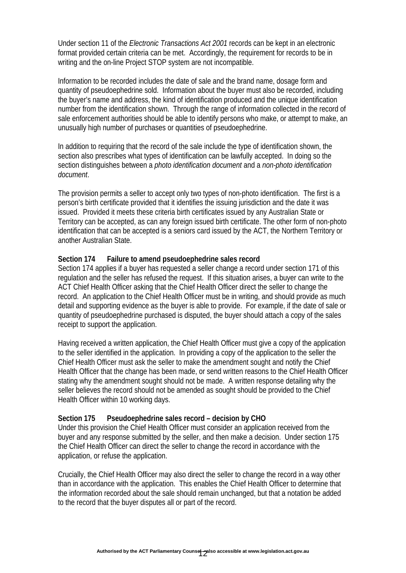Under section 11 of the *Electronic Transactions Act 2001* records can be kept in an electronic format provided certain criteria can be met. Accordingly, the requirement for records to be in writing and the on-line Project STOP system are not incompatible.

Information to be recorded includes the date of sale and the brand name, dosage form and quantity of pseudoephedrine sold. Information about the buyer must also be recorded, including the buyer's name and address, the kind of identification produced and the unique identification number from the identification shown. Through the range of information collected in the record of sale enforcement authorities should be able to identify persons who make, or attempt to make, an unusually high number of purchases or quantities of pseudoephedrine.

In addition to requiring that the record of the sale include the type of identification shown, the section also prescribes what types of identification can be lawfully accepted. In doing so the section distinguishes between a *photo identification document* and a *non-photo identification document*.

The provision permits a seller to accept only two types of non-photo identification. The first is a person's birth certificate provided that it identifies the issuing jurisdiction and the date it was issued. Provided it meets these criteria birth certificates issued by any Australian State or Territory can be accepted, as can any foreign issued birth certificate. The other form of non-photo identification that can be accepted is a seniors card issued by the ACT, the Northern Territory or another Australian State.

#### **Section 174 Failure to amend pseudoephedrine sales record**

Section 174 applies if a buyer has requested a seller change a record under section 171 of this regulation and the seller has refused the request. If this situation arises, a buyer can write to the ACT Chief Health Officer asking that the Chief Health Officer direct the seller to change the record. An application to the Chief Health Officer must be in writing, and should provide as much detail and supporting evidence as the buyer is able to provide. For example, if the date of sale or quantity of pseudoephedrine purchased is disputed, the buyer should attach a copy of the sales receipt to support the application.

Having received a written application, the Chief Health Officer must give a copy of the application to the seller identified in the application. In providing a copy of the application to the seller the Chief Health Officer must ask the seller to make the amendment sought and notify the Chief Health Officer that the change has been made, or send written reasons to the Chief Health Officer stating why the amendment sought should not be made. A written response detailing why the seller believes the record should not be amended as sought should be provided to the Chief Health Officer within 10 working days.

#### **Section 175 Pseudoephedrine sales record – decision by CHO**

Under this provision the Chief Health Officer must consider an application received from the buyer and any response submitted by the seller, and then make a decision. Under section 175 the Chief Health Officer can direct the seller to change the record in accordance with the application, or refuse the application.

Crucially, the Chief Health Officer may also direct the seller to change the record in a way other than in accordance with the application. This enables the Chief Health Officer to determine that the information recorded about the sale should remain unchanged, but that a notation be added to the record that the buyer disputes all or part of the record.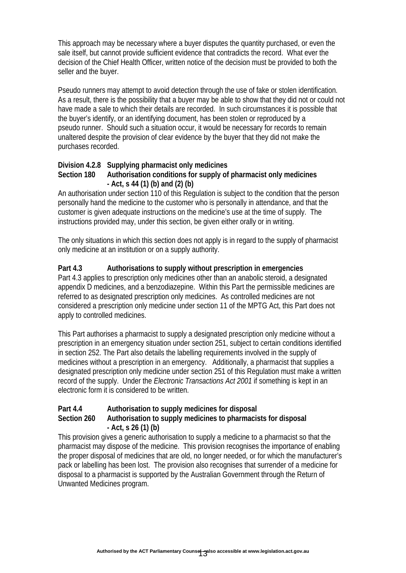This approach may be necessary where a buyer disputes the quantity purchased, or even the sale itself, but cannot provide sufficient evidence that contradicts the record. What ever the decision of the Chief Health Officer, written notice of the decision must be provided to both the seller and the buyer.

Pseudo runners may attempt to avoid detection through the use of fake or stolen identification. As a result, there is the possibility that a buyer may be able to show that they did not or could not have made a sale to which their details are recorded. In such circumstances it is possible that the buyer's identify, or an identifying document, has been stolen or reproduced by a pseudo runner. Should such a situation occur, it would be necessary for records to remain unaltered despite the provision of clear evidence by the buyer that they did not make the purchases recorded.

## **Division 4.2.8 Supplying pharmacist only medicines**

#### **Section 180 Authorisation conditions for supply of pharmacist only medicines - Act, s 44 (1) (b) and (2) (b)**

An authorisation under section 110 of this Regulation is subject to the condition that the person personally hand the medicine to the customer who is personally in attendance, and that the customer is given adequate instructions on the medicine's use at the time of supply. The instructions provided may, under this section, be given either orally or in writing.

The only situations in which this section does not apply is in regard to the supply of pharmacist only medicine at an institution or on a supply authority.

## **Part 4.3 Authorisations to supply without prescription in emergencies**

Part 4.3 applies to prescription only medicines other than an anabolic steroid, a designated appendix D medicines, and a benzodiazepine. Within this Part the permissible medicines are referred to as designated prescription only medicines. As controlled medicines are not considered a prescription only medicine under section 11 of the MPTG Act, this Part does not apply to controlled medicines.

This Part authorises a pharmacist to supply a designated prescription only medicine without a prescription in an emergency situation under section 251, subject to certain conditions identified in section 252. The Part also details the labelling requirements involved in the supply of medicines without a prescription in an emergency. Additionally, a pharmacist that supplies a designated prescription only medicine under section 251 of this Regulation must make a written record of the supply. Under the *Electronic Transactions Act 2001* if something is kept in an electronic form it is considered to be written.

## **Part 4.4 Authorisation to supply medicines for disposal**

### **Section 260 Authorisation to supply medicines to pharmacists for disposal - Act, s 26 (1) (b)**

This provision gives a generic authorisation to supply a medicine to a pharmacist so that the pharmacist may dispose of the medicine. This provision recognises the importance of enabling the proper disposal of medicines that are old, no longer needed, or for which the manufacturer's pack or labelling has been lost. The provision also recognises that surrender of a medicine for disposal to a pharmacist is supported by the Australian Government through the Return of Unwanted Medicines program.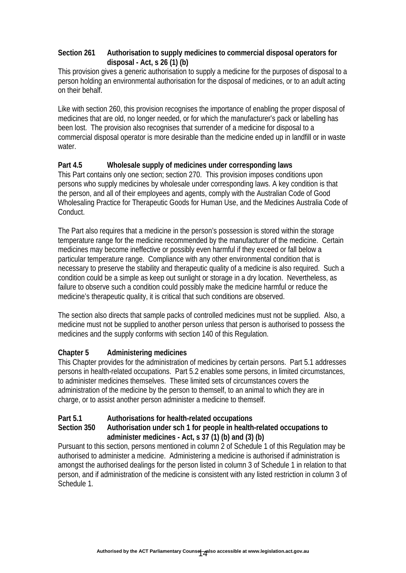### **Section 261 Authorisation to supply medicines to commercial disposal operators for disposal - Act, s 26 (1) (b)**

This provision gives a generic authorisation to supply a medicine for the purposes of disposal to a person holding an environmental authorisation for the disposal of medicines, or to an adult acting on their behalf.

Like with section 260, this provision recognises the importance of enabling the proper disposal of medicines that are old, no longer needed, or for which the manufacturer's pack or labelling has been lost. The provision also recognises that surrender of a medicine for disposal to a commercial disposal operator is more desirable than the medicine ended up in landfill or in waste water.

## **Part 4.5 Wholesale supply of medicines under corresponding laws**

This Part contains only one section; section 270. This provision imposes conditions upon persons who supply medicines by wholesale under corresponding laws. A key condition is that the person, and all of their employees and agents, comply with the Australian Code of Good Wholesaling Practice for Therapeutic Goods for Human Use, and the Medicines Australia Code of Conduct.

The Part also requires that a medicine in the person's possession is stored within the storage temperature range for the medicine recommended by the manufacturer of the medicine. Certain medicines may become ineffective or possibly even harmful if they exceed or fall below a particular temperature range. Compliance with any other environmental condition that is necessary to preserve the stability and therapeutic quality of a medicine is also required. Such a condition could be a simple as keep out sunlight or storage in a dry location. Nevertheless, as failure to observe such a condition could possibly make the medicine harmful or reduce the medicine's therapeutic quality, it is critical that such conditions are observed.

The section also directs that sample packs of controlled medicines must not be supplied. Also, a medicine must not be supplied to another person unless that person is authorised to possess the medicines and the supply conforms with section 140 of this Regulation.

# **Chapter 5 Administering medicines**

This Chapter provides for the administration of medicines by certain persons. Part 5.1 addresses persons in health-related occupations. Part 5.2 enables some persons, in limited circumstances, to administer medicines themselves. These limited sets of circumstances covers the administration of the medicine by the person to themself, to an animal to which they are in charge, or to assist another person administer a medicine to themself.

## **Part 5.1 Authorisations for health-related occupations**

### **Section 350 Authorisation under sch 1 for people in health-related occupations to administer medicines - Act, s 37 (1) (b) and (3) (b)**

Pursuant to this section, persons mentioned in column 2 of Schedule 1 of this Regulation may be authorised to administer a medicine. Administering a medicine is authorised if administration is amongst the authorised dealings for the person listed in column 3 of Schedule 1 in relation to that person, and if administration of the medicine is consistent with any listed restriction in column 3 of Schedule 1.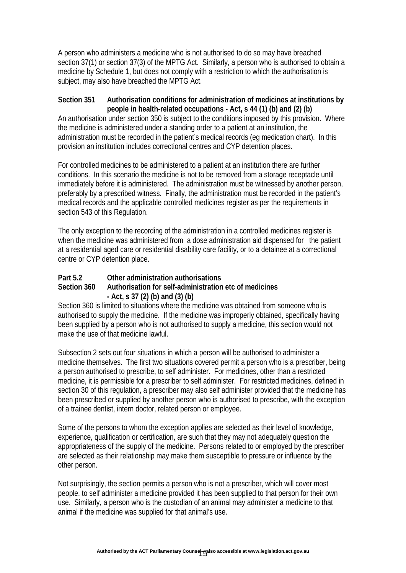A person who administers a medicine who is not authorised to do so may have breached section 37(1) or section 37(3) of the MPTG Act. Similarly, a person who is authorised to obtain a medicine by Schedule 1, but does not comply with a restriction to which the authorisation is subject, may also have breached the MPTG Act.

### **Section 351 Authorisation conditions for administration of medicines at institutions by people in health-related occupations - Act, s 44 (1) (b) and (2) (b)**

An authorisation under section 350 is subject to the conditions imposed by this provision. Where the medicine is administered under a standing order to a patient at an institution, the administration must be recorded in the patient's medical records (eg medication chart). In this provision an institution includes correctional centres and CYP detention places.

For controlled medicines to be administered to a patient at an institution there are further conditions. In this scenario the medicine is not to be removed from a storage receptacle until immediately before it is administered. The administration must be witnessed by another person, preferably by a prescribed witness. Finally, the administration must be recorded in the patient's medical records and the applicable controlled medicines register as per the requirements in section 543 of this Regulation.

The only exception to the recording of the administration in a controlled medicines register is when the medicine was administered from a dose administration aid dispensed for the patient at a residential aged care or residential disability care facility, or to a detainee at a correctional centre or CYP detention place.

#### **Part 5.2 Other administration authorisations Section 360 Authorisation for self-administration etc of medicines - Act, s 37 (2) (b) and (3) (b)**

Section 360 is limited to situations where the medicine was obtained from someone who is authorised to supply the medicine. If the medicine was improperly obtained, specifically having been supplied by a person who is not authorised to supply a medicine, this section would not make the use of that medicine lawful.

Subsection 2 sets out four situations in which a person will be authorised to administer a medicine themselves. The first two situations covered permit a person who is a prescriber, being a person authorised to prescribe, to self administer. For medicines, other than a restricted medicine, it is permissible for a prescriber to self administer. For restricted medicines, defined in section 30 of this regulation, a prescriber may also self administer provided that the medicine has been prescribed or supplied by another person who is authorised to prescribe, with the exception of a trainee dentist, intern doctor, related person or employee.

Some of the persons to whom the exception applies are selected as their level of knowledge, experience, qualification or certification, are such that they may not adequately question the appropriateness of the supply of the medicine. Persons related to or employed by the prescriber are selected as their relationship may make them susceptible to pressure or influence by the other person.

Not surprisingly, the section permits a person who is not a prescriber, which will cover most people, to self administer a medicine provided it has been supplied to that person for their own use. Similarly, a person who is the custodian of an animal may administer a medicine to that animal if the medicine was supplied for that animal's use.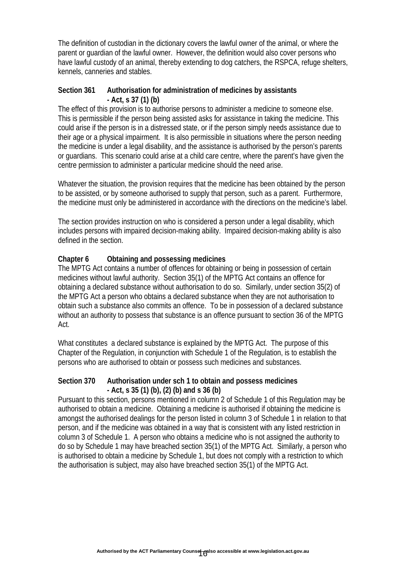The definition of custodian in the dictionary covers the lawful owner of the animal, or where the parent or guardian of the lawful owner. However, the definition would also cover persons who have lawful custody of an animal, thereby extending to dog catchers, the RSPCA, refuge shelters, kennels, canneries and stables.

#### **Section 361 Authorisation for administration of medicines by assistants - Act, s 37 (1) (b)**

The effect of this provision is to authorise persons to administer a medicine to someone else. This is permissible if the person being assisted asks for assistance in taking the medicine. This could arise if the person is in a distressed state, or if the person simply needs assistance due to their age or a physical impairment. It is also permissible in situations where the person needing the medicine is under a legal disability, and the assistance is authorised by the person's parents or guardians. This scenario could arise at a child care centre, where the parent's have given the centre permission to administer a particular medicine should the need arise.

Whatever the situation, the provision requires that the medicine has been obtained by the person to be assisted, or by someone authorised to supply that person, such as a parent. Furthermore, the medicine must only be administered in accordance with the directions on the medicine's label.

The section provides instruction on who is considered a person under a legal disability, which includes persons with impaired decision-making ability. Impaired decision-making ability is also defined in the section.

### **Chapter 6 Obtaining and possessing medicines**

The MPTG Act contains a number of offences for obtaining or being in possession of certain medicines without lawful authority. Section 35(1) of the MPTG Act contains an offence for obtaining a declared substance without authorisation to do so. Similarly, under section 35(2) of the MPTG Act a person who obtains a declared substance when they are not authorisation to obtain such a substance also commits an offence. To be in possession of a declared substance without an authority to possess that substance is an offence pursuant to section 36 of the MPTG Act.

What constitutes a declared substance is explained by the MPTG Act. The purpose of this Chapter of the Regulation, in conjunction with Schedule 1 of the Regulation, is to establish the persons who are authorised to obtain or possess such medicines and substances.

#### **Section 370 Authorisation under sch 1 to obtain and possess medicines - Act, s 35 (1) (b), (2) (b) and s 36 (b)**

Pursuant to this section, persons mentioned in column 2 of Schedule 1 of this Regulation may be authorised to obtain a medicine. Obtaining a medicine is authorised if obtaining the medicine is amongst the authorised dealings for the person listed in column 3 of Schedule 1 in relation to that person, and if the medicine was obtained in a way that is consistent with any listed restriction in column 3 of Schedule 1. A person who obtains a medicine who is not assigned the authority to do so by Schedule 1 may have breached section 35(1) of the MPTG Act. Similarly, a person who is authorised to obtain a medicine by Schedule 1, but does not comply with a restriction to which the authorisation is subject, may also have breached section 35(1) of the MPTG Act.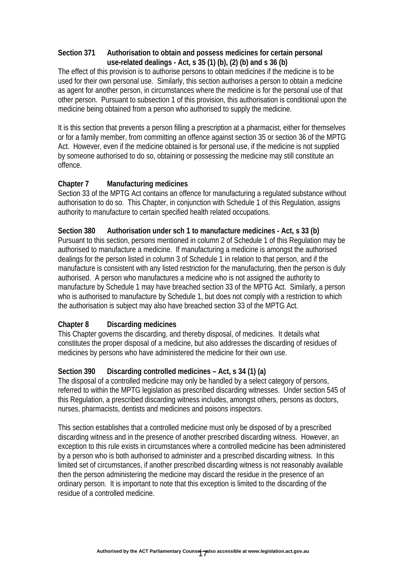### **Section 371 Authorisation to obtain and possess medicines for certain personal use-related dealings - Act, s 35 (1) (b), (2) (b) and s 36 (b)**

The effect of this provision is to authorise persons to obtain medicines if the medicine is to be used for their own personal use. Similarly, this section authorises a person to obtain a medicine as agent for another person, in circumstances where the medicine is for the personal use of that other person. Pursuant to subsection 1 of this provision, this authorisation is conditional upon the medicine being obtained from a person who authorised to supply the medicine.

It is this section that prevents a person filling a prescription at a pharmacist, either for themselves or for a family member, from committing an offence against section 35 or section 36 of the MPTG Act. However, even if the medicine obtained is for personal use, if the medicine is not supplied by someone authorised to do so, obtaining or possessing the medicine may still constitute an offence.

### **Chapter 7 Manufacturing medicines**

Section 33 of the MPTG Act contains an offence for manufacturing a regulated substance without authorisation to do so. This Chapter, in conjunction with Schedule 1 of this Regulation, assigns authority to manufacture to certain specified health related occupations.

### **Section 380 Authorisation under sch 1 to manufacture medicines - Act, s 33 (b)**

Pursuant to this section, persons mentioned in column 2 of Schedule 1 of this Regulation may be authorised to manufacture a medicine. If manufacturing a medicine is amongst the authorised dealings for the person listed in column 3 of Schedule 1 in relation to that person, and if the manufacture is consistent with any listed restriction for the manufacturing, then the person is duly authorised. A person who manufactures a medicine who is not assigned the authority to manufacture by Schedule 1 may have breached section 33 of the MPTG Act. Similarly, a person who is authorised to manufacture by Schedule 1, but does not comply with a restriction to which the authorisation is subject may also have breached section 33 of the MPTG Act.

## **Chapter 8 Discarding medicines**

This Chapter governs the discarding, and thereby disposal, of medicines. It details what constitutes the proper disposal of a medicine, but also addresses the discarding of residues of medicines by persons who have administered the medicine for their own use.

## **Section 390 Discarding controlled medicines – Act, s 34 (1) (a)**

The disposal of a controlled medicine may only be handled by a select category of persons, referred to within the MPTG legislation as prescribed discarding witnesses. Under section 545 of this Regulation, a prescribed discarding witness includes, amongst others, persons as doctors, nurses, pharmacists, dentists and medicines and poisons inspectors.

This section establishes that a controlled medicine must only be disposed of by a prescribed discarding witness and in the presence of another prescribed discarding witness. However, an exception to this rule exists in circumstances where a controlled medicine has been administered by a person who is both authorised to administer and a prescribed discarding witness. In this limited set of circumstances, if another prescribed discarding witness is not reasonably available then the person administering the medicine may discard the residue in the presence of an ordinary person. It is important to note that this exception is limited to the discarding of the residue of a controlled medicine.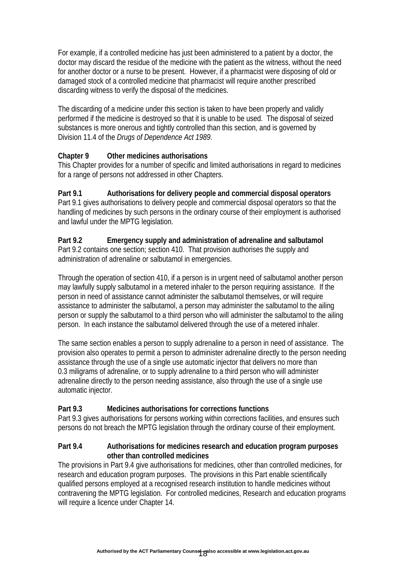For example, if a controlled medicine has just been administered to a patient by a doctor, the doctor may discard the residue of the medicine with the patient as the witness, without the need for another doctor or a nurse to be present. However, if a pharmacist were disposing of old or damaged stock of a controlled medicine that pharmacist will require another prescribed discarding witness to verify the disposal of the medicines.

The discarding of a medicine under this section is taken to have been properly and validly performed if the medicine is destroyed so that it is unable to be used. The disposal of seized substances is more onerous and tightly controlled than this section, and is governed by Division 11.4 of the *Drugs of Dependence Act 1989*.

# **Chapter 9 Other medicines authorisations**

This Chapter provides for a number of specific and limited authorisations in regard to medicines for a range of persons not addressed in other Chapters.

# **Part 9.1 Authorisations for delivery people and commercial disposal operators**

Part 9.1 gives authorisations to delivery people and commercial disposal operators so that the handling of medicines by such persons in the ordinary course of their employment is authorised and lawful under the MPTG legislation.

#### **Part 9.2 Emergency supply and administration of adrenaline and salbutamol**  Part 9.2 contains one section; section 410. That provision authorises the supply and administration of adrenaline or salbutamol in emergencies.

Through the operation of section 410, if a person is in urgent need of salbutamol another person may lawfully supply salbutamol in a metered inhaler to the person requiring assistance. If the person in need of assistance cannot administer the salbutamol themselves, or will require assistance to administer the salbutamol, a person may administer the salbutamol to the ailing person or supply the salbutamol to a third person who will administer the salbutamol to the ailing person. In each instance the salbutamol delivered through the use of a metered inhaler.

The same section enables a person to supply adrenaline to a person in need of assistance. The provision also operates to permit a person to administer adrenaline directly to the person needing assistance through the use of a single use automatic injector that delivers no more than 0.3 miligrams of adrenaline, or to supply adrenaline to a third person who will administer adrenaline directly to the person needing assistance, also through the use of a single use automatic injector.

## **Part 9.3 Medicines authorisations for corrections functions**

Part 9.3 gives authorisations for persons working within corrections facilities, and ensures such persons do not breach the MPTG legislation through the ordinary course of their employment.

#### **Part 9.4 Authorisations for medicines research and education program purposes other than controlled medicines**

The provisions in Part 9.4 give authorisations for medicines, other than controlled medicines, for research and education program purposes. The provisions in this Part enable scientifically qualified persons employed at a recognised research institution to handle medicines without contravening the MPTG legislation. For controlled medicines, Research and education programs will require a licence under Chapter 14.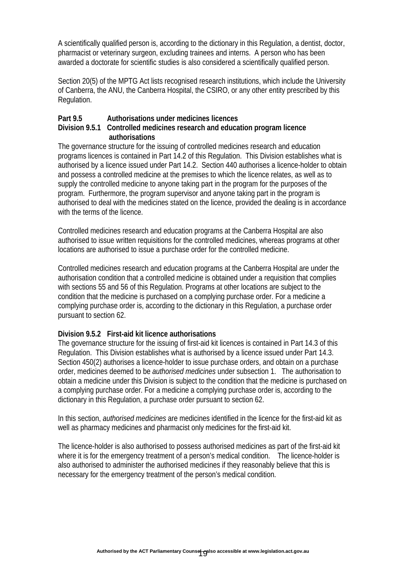A scientifically qualified person is, according to the dictionary in this Regulation, a dentist, doctor, pharmacist or veterinary surgeon, excluding trainees and interns. A person who has been awarded a doctorate for scientific studies is also considered a scientifically qualified person.

Section 20(5) of the MPTG Act lists recognised research institutions, which include the University of Canberra, the ANU, the Canberra Hospital, the CSIRO, or any other entity prescribed by this Regulation.

#### **Part 9.5 Authorisations under medicines licences**

#### **Division 9.5.1 Controlled medicines research and education program licence authorisations**

The governance structure for the issuing of controlled medicines research and education programs licences is contained in Part 14.2 of this Regulation. This Division establishes what is authorised by a licence issued under Part 14.2. Section 440 authorises a licence-holder to obtain and possess a controlled medicine at the premises to which the licence relates, as well as to supply the controlled medicine to anyone taking part in the program for the purposes of the program. Furthermore, the program supervisor and anyone taking part in the program is authorised to deal with the medicines stated on the licence, provided the dealing is in accordance with the terms of the licence.

Controlled medicines research and education programs at the Canberra Hospital are also authorised to issue written requisitions for the controlled medicines, whereas programs at other locations are authorised to issue a purchase order for the controlled medicine.

Controlled medicines research and education programs at the Canberra Hospital are under the authorisation condition that a controlled medicine is obtained under a requisition that complies with sections 55 and 56 of this Regulation. Programs at other locations are subject to the condition that the medicine is purchased on a complying purchase order. For a medicine a complying purchase order is, according to the dictionary in this Regulation, a purchase order pursuant to section 62.

#### **Division 9.5.2 First-aid kit licence authorisations**

The governance structure for the issuing of first-aid kit licences is contained in Part 14.3 of this Regulation. This Division establishes what is authorised by a licence issued under Part 14.3. Section 450(2) authorises a licence-holder to issue purchase orders, and obtain on a purchase order, medicines deemed to be *authorised medicines* under subsection 1. The authorisation to obtain a medicine under this Division is subject to the condition that the medicine is purchased on a complying purchase order. For a medicine a complying purchase order is, according to the dictionary in this Regulation, a purchase order pursuant to section 62.

In this section, *authorised medicines* are medicines identified in the licence for the first-aid kit as well as pharmacy medicines and pharmacist only medicines for the first-aid kit.

The licence-holder is also authorised to possess authorised medicines as part of the first-aid kit where it is for the emergency treatment of a person's medical condition. The licence-holder is also authorised to administer the authorised medicines if they reasonably believe that this is necessary for the emergency treatment of the person's medical condition.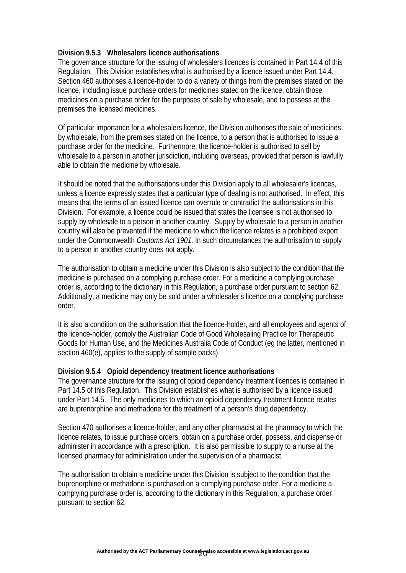#### **Division 9.5.3 Wholesalers licence authorisations**

The governance structure for the issuing of wholesalers licences is contained in Part 14.4 of this Regulation. This Division establishes what is authorised by a licence issued under Part 14.4. Section 460 authorises a licence-holder to do a variety of things from the premises stated on the licence, including issue purchase orders for medicines stated on the licence, obtain those medicines on a purchase order for the purposes of sale by wholesale, and to possess at the premises the licensed medicines.

Of particular importance for a wholesalers licence, the Division authorises the sale of medicines by wholesale, from the premises stated on the licence, to a person that is authorised to issue a purchase order for the medicine. Furthermore, the licence-holder is authorised to sell by wholesale to a person in another jurisdiction, including overseas, provided that person is lawfully able to obtain the medicine by wholesale.

It should be noted that the authorisations under this Division apply to all wholesaler's licences, unless a licence expressly states that a particular type of dealing is not authorised. In effect, this means that the terms of an issued licence can overrule or contradict the authorisations in this Division. For example, a licence could be issued that states the licensee is not authorised to supply by wholesale to a person in another country. Supply by wholesale to a person in another country will also be prevented if the medicine to which the licence relates is a prohibited export under the Commonwealth *Customs Act 1901*. In such circumstances the authorisation to supply to a person in another country does not apply.

The authorisation to obtain a medicine under this Division is also subject to the condition that the medicine is purchased on a complying purchase order. For a medicine a complying purchase order is, according to the dictionary in this Regulation, a purchase order pursuant to section 62. Additionally, a medicine may only be sold under a wholesaler's licence on a complying purchase order.

It is also a condition on the authorisation that the licence-holder, and all employees and agents of the licence-holder, comply the Australian Code of Good Wholesaling Practice for Therapeutic Goods for Human Use, and the Medicines Australia Code of Conduct (eg the latter, mentioned in section 460(e), applies to the supply of sample packs).

#### **Division 9.5.4 Opioid dependency treatment licence authorisations**

The governance structure for the issuing of opioid dependency treatment licences is contained in Part 14.5 of this Regulation. This Division establishes what is authorised by a licence issued under Part 14.5. The only medicines to which an opioid dependency treatment licence relates are buprenorphine and methadone for the treatment of a person's drug dependency.

Section 470 authorises a licence-holder, and any other pharmacist at the pharmacy to which the licence relates, to issue purchase orders, obtain on a purchase order, possess, and dispense or administer in accordance with a prescription. It is also permissible to supply to a nurse at the licensed pharmacy for administration under the supervision of a pharmacist.

The authorisation to obtain a medicine under this Division is subject to the condition that the buprenorphine or methadone is purchased on a complying purchase order. For a medicine a complying purchase order is, according to the dictionary in this Regulation, a purchase order pursuant to section 62.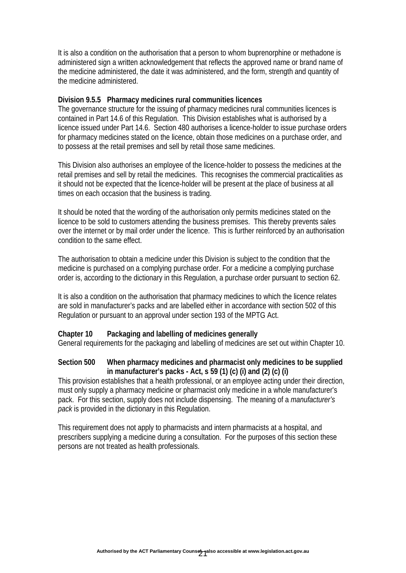It is also a condition on the authorisation that a person to whom buprenorphine or methadone is administered sign a written acknowledgement that reflects the approved name or brand name of the medicine administered, the date it was administered, and the form, strength and quantity of the medicine administered.

#### **Division 9.5.5 Pharmacy medicines rural communities licences**

The governance structure for the issuing of pharmacy medicines rural communities licences is contained in Part 14.6 of this Regulation. This Division establishes what is authorised by a licence issued under Part 14.6. Section 480 authorises a licence-holder to issue purchase orders for pharmacy medicines stated on the licence, obtain those medicines on a purchase order, and to possess at the retail premises and sell by retail those same medicines.

This Division also authorises an employee of the licence-holder to possess the medicines at the retail premises and sell by retail the medicines. This recognises the commercial practicalities as it should not be expected that the licence-holder will be present at the place of business at all times on each occasion that the business is trading.

It should be noted that the wording of the authorisation only permits medicines stated on the licence to be sold to customers attending the business premises. This thereby prevents sales over the internet or by mail order under the licence. This is further reinforced by an authorisation condition to the same effect.

The authorisation to obtain a medicine under this Division is subject to the condition that the medicine is purchased on a complying purchase order. For a medicine a complying purchase order is, according to the dictionary in this Regulation, a purchase order pursuant to section 62.

It is also a condition on the authorisation that pharmacy medicines to which the licence relates are sold in manufacturer's packs and are labelled either in accordance with section 502 of this Regulation or pursuant to an approval under section 193 of the MPTG Act.

#### **Chapter 10 Packaging and labelling of medicines generally**

General requirements for the packaging and labelling of medicines are set out within Chapter 10.

#### **Section 500 When pharmacy medicines and pharmacist only medicines to be supplied in manufacturer's packs - Act, s 59 (1) (c) (i) and (2) (c) (i)**

This provision establishes that a health professional, or an employee acting under their direction, must only supply a pharmacy medicine or pharmacist only medicine in a whole manufacturer's pack. For this section, supply does not include dispensing. The meaning of a *manufacturer's pack* is provided in the dictionary in this Regulation.

This requirement does not apply to pharmacists and intern pharmacists at a hospital, and prescribers supplying a medicine during a consultation. For the purposes of this section these persons are not treated as health professionals.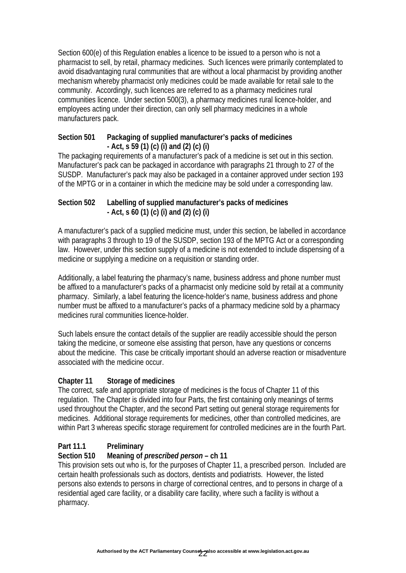Section 600(e) of this Regulation enables a licence to be issued to a person who is not a pharmacist to sell, by retail, pharmacy medicines. Such licences were primarily contemplated to avoid disadvantaging rural communities that are without a local pharmacist by providing another mechanism whereby pharmacist only medicines could be made available for retail sale to the community. Accordingly, such licences are referred to as a pharmacy medicines rural communities licence. Under section 500(3), a pharmacy medicines rural licence-holder, and employees acting under their direction, can only sell pharmacy medicines in a whole manufacturers pack.

#### **Section 501 Packaging of supplied manufacturer's packs of medicines - Act, s 59 (1) (c) (i) and (2) (c) (i)**

The packaging requirements of a manufacturer's pack of a medicine is set out in this section. Manufacturer's pack can be packaged in accordance with paragraphs 21 through to 27 of the SUSDP. Manufacturer's pack may also be packaged in a container approved under section 193 of the MPTG or in a container in which the medicine may be sold under a corresponding law.

## **Section 502 Labelling of supplied manufacturer's packs of medicines - Act, s 60 (1) (c) (i) and (2) (c) (i)**

A manufacturer's pack of a supplied medicine must, under this section, be labelled in accordance with paragraphs 3 through to 19 of the SUSDP, section 193 of the MPTG Act or a corresponding law. However, under this section supply of a medicine is not extended to include dispensing of a medicine or supplying a medicine on a requisition or standing order.

Additionally, a label featuring the pharmacy's name, business address and phone number must be affixed to a manufacturer's packs of a pharmacist only medicine sold by retail at a community pharmacy. Similarly, a label featuring the licence-holder's name, business address and phone number must be affixed to a manufacturer's packs of a pharmacy medicine sold by a pharmacy medicines rural communities licence-holder.

Such labels ensure the contact details of the supplier are readily accessible should the person taking the medicine, or someone else assisting that person, have any questions or concerns about the medicine. This case be critically important should an adverse reaction or misadventure associated with the medicine occur.

## **Chapter 11 Storage of medicines**

The correct, safe and appropriate storage of medicines is the focus of Chapter 11 of this regulation. The Chapter is divided into four Parts, the first containing only meanings of terms used throughout the Chapter, and the second Part setting out general storage requirements for medicines. Additional storage requirements for medicines, other than controlled medicines, are within Part 3 whereas specific storage requirement for controlled medicines are in the fourth Part.

## **Part 11.1 Preliminary**

## **Section 510 Meaning of** *prescribed person* **– ch 11**

This provision sets out who is, for the purposes of Chapter 11, a prescribed person. Included are certain health professionals such as doctors, dentists and podiatrists. However, the listed persons also extends to persons in charge of correctional centres, and to persons in charge of a residential aged care facility, or a disability care facility, where such a facility is without a pharmacy.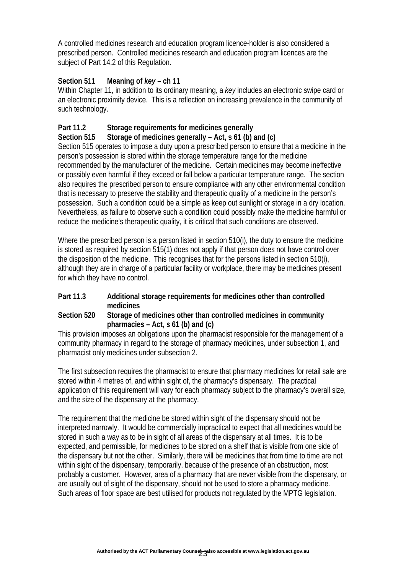A controlled medicines research and education program licence-holder is also considered a prescribed person. Controlled medicines research and education program licences are the subject of Part 14.2 of this Regulation.

# **Section 511 Meaning of** *key* **– ch 11**

Within Chapter 11, in addition to its ordinary meaning, a *key* includes an electronic swipe card or an electronic proximity device. This is a reflection on increasing prevalence in the community of such technology.

# **Part 11.2 Storage requirements for medicines generally**

## **Section 515 Storage of medicines generally – Act, s 61 (b) and (c)**

Section 515 operates to impose a duty upon a prescribed person to ensure that a medicine in the person's possession is stored within the storage temperature range for the medicine recommended by the manufacturer of the medicine. Certain medicines may become ineffective or possibly even harmful if they exceed or fall below a particular temperature range. The section also requires the prescribed person to ensure compliance with any other environmental condition that is necessary to preserve the stability and therapeutic quality of a medicine in the person's possession. Such a condition could be a simple as keep out sunlight or storage in a dry location. Nevertheless, as failure to observe such a condition could possibly make the medicine harmful or reduce the medicine's therapeutic quality, it is critical that such conditions are observed.

Where the prescribed person is a person listed in section 510(i), the duty to ensure the medicine is stored as required by section 515(1) does not apply if that person does not have control over the disposition of the medicine. This recognises that for the persons listed in section 510(i), although they are in charge of a particular facility or workplace, there may be medicines present for which they have no control.

### **Part 11.3 Additional storage requirements for medicines other than controlled medicines**

### **Section 520 Storage of medicines other than controlled medicines in community pharmacies – Act, s 61 (b) and (c)**

This provision imposes an obligations upon the pharmacist responsible for the management of a community pharmacy in regard to the storage of pharmacy medicines, under subsection 1, and pharmacist only medicines under subsection 2.

The first subsection requires the pharmacist to ensure that pharmacy medicines for retail sale are stored within 4 metres of, and within sight of, the pharmacy's dispensary. The practical application of this requirement will vary for each pharmacy subject to the pharmacy's overall size, and the size of the dispensary at the pharmacy.

The requirement that the medicine be stored within sight of the dispensary should not be interpreted narrowly. It would be commercially impractical to expect that all medicines would be stored in such a way as to be in sight of all areas of the dispensary at all times. It is to be expected, and permissible, for medicines to be stored on a shelf that is visible from one side of the dispensary but not the other. Similarly, there will be medicines that from time to time are not within sight of the dispensary, temporarily, because of the presence of an obstruction, most probably a customer. However, area of a pharmacy that are never visible from the dispensary, or are usually out of sight of the dispensary, should not be used to store a pharmacy medicine. Such areas of floor space are best utilised for products not regulated by the MPTG legislation.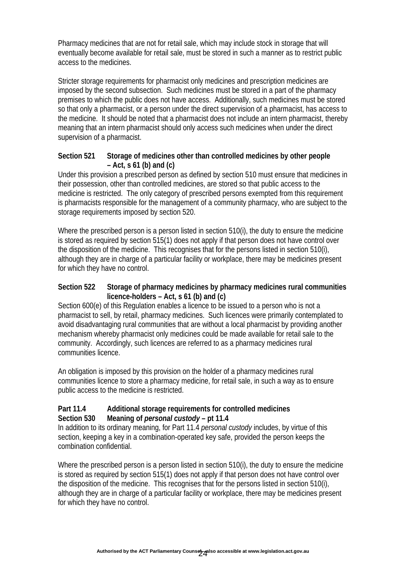Pharmacy medicines that are not for retail sale, which may include stock in storage that will eventually become available for retail sale, must be stored in such a manner as to restrict public access to the medicines.

Stricter storage requirements for pharmacist only medicines and prescription medicines are imposed by the second subsection. Such medicines must be stored in a part of the pharmacy premises to which the public does not have access. Additionally, such medicines must be stored so that only a pharmacist, or a person under the direct supervision of a pharmacist, has access to the medicine. It should be noted that a pharmacist does not include an intern pharmacist, thereby meaning that an intern pharmacist should only access such medicines when under the direct supervision of a pharmacist.

#### **Section 521 Storage of medicines other than controlled medicines by other people – Act, s 61 (b) and (c)**

Under this provision a prescribed person as defined by section 510 must ensure that medicines in their possession, other than controlled medicines, are stored so that public access to the medicine is restricted. The only category of prescribed persons exempted from this requirement is pharmacists responsible for the management of a community pharmacy, who are subject to the storage requirements imposed by section 520.

Where the prescribed person is a person listed in section 510(i), the duty to ensure the medicine is stored as required by section 515(1) does not apply if that person does not have control over the disposition of the medicine. This recognises that for the persons listed in section 510(i). although they are in charge of a particular facility or workplace, there may be medicines present for which they have no control.

#### **Section 522 Storage of pharmacy medicines by pharmacy medicines rural communities licence-holders – Act, s 61 (b) and (c)**

Section 600(e) of this Regulation enables a licence to be issued to a person who is not a pharmacist to sell, by retail, pharmacy medicines. Such licences were primarily contemplated to avoid disadvantaging rural communities that are without a local pharmacist by providing another mechanism whereby pharmacist only medicines could be made available for retail sale to the community. Accordingly, such licences are referred to as a pharmacy medicines rural communities licence.

An obligation is imposed by this provision on the holder of a pharmacy medicines rural communities licence to store a pharmacy medicine, for retail sale, in such a way as to ensure public access to the medicine is restricted.

#### **Part 11.4 Additional storage requirements for controlled medicines Section 530 Meaning of** *personal custody* **– pt 11.4**

In addition to its ordinary meaning, for Part 11.4 *personal custody* includes, by virtue of this section, keeping a key in a combination-operated key safe, provided the person keeps the combination confidential.

Where the prescribed person is a person listed in section 510(i), the duty to ensure the medicine is stored as required by section 515(1) does not apply if that person does not have control over the disposition of the medicine. This recognises that for the persons listed in section 510(i), although they are in charge of a particular facility or workplace, there may be medicines present for which they have no control.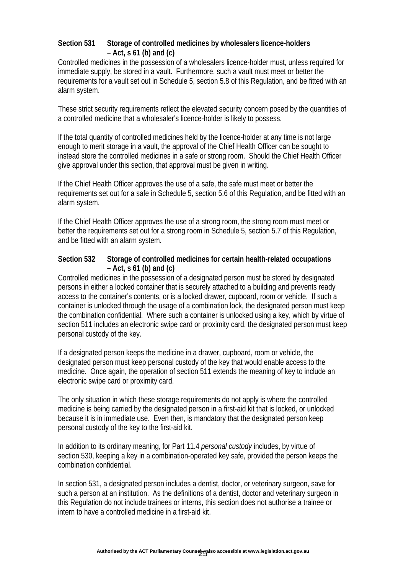#### **Section 531 Storage of controlled medicines by wholesalers licence-holders – Act, s 61 (b) and (c)**

Controlled medicines in the possession of a wholesalers licence-holder must, unless required for immediate supply, be stored in a vault. Furthermore, such a vault must meet or better the requirements for a vault set out in Schedule 5, section 5.8 of this Regulation, and be fitted with an alarm system.

These strict security requirements reflect the elevated security concern posed by the quantities of a controlled medicine that a wholesaler's licence-holder is likely to possess.

If the total quantity of controlled medicines held by the licence-holder at any time is not large enough to merit storage in a vault, the approval of the Chief Health Officer can be sought to instead store the controlled medicines in a safe or strong room. Should the Chief Health Officer give approval under this section, that approval must be given in writing.

If the Chief Health Officer approves the use of a safe, the safe must meet or better the requirements set out for a safe in Schedule 5, section 5.6 of this Regulation, and be fitted with an alarm system.

If the Chief Health Officer approves the use of a strong room, the strong room must meet or better the requirements set out for a strong room in Schedule 5, section 5.7 of this Regulation, and be fitted with an alarm system.

#### **Section 532 Storage of controlled medicines for certain health-related occupations – Act, s 61 (b) and (c)**

Controlled medicines in the possession of a designated person must be stored by designated persons in either a locked container that is securely attached to a building and prevents ready access to the container's contents, or is a locked drawer, cupboard, room or vehicle. If such a container is unlocked through the usage of a combination lock, the designated person must keep the combination confidential. Where such a container is unlocked using a key, which by virtue of section 511 includes an electronic swipe card or proximity card, the designated person must keep personal custody of the key.

If a designated person keeps the medicine in a drawer, cupboard, room or vehicle, the designated person must keep personal custody of the key that would enable access to the medicine. Once again, the operation of section 511 extends the meaning of key to include an electronic swipe card or proximity card.

The only situation in which these storage requirements do not apply is where the controlled medicine is being carried by the designated person in a first-aid kit that is locked, or unlocked because it is in immediate use. Even then, is mandatory that the designated person keep personal custody of the key to the first-aid kit.

In addition to its ordinary meaning, for Part 11.4 *personal custody* includes, by virtue of section 530, keeping a key in a combination-operated key safe, provided the person keeps the combination confidential.

In section 531, a designated person includes a dentist, doctor, or veterinary surgeon, save for such a person at an institution. As the definitions of a dentist, doctor and veterinary surgeon in this Regulation do not include trainees or interns, this section does not authorise a trainee or intern to have a controlled medicine in a first-aid kit.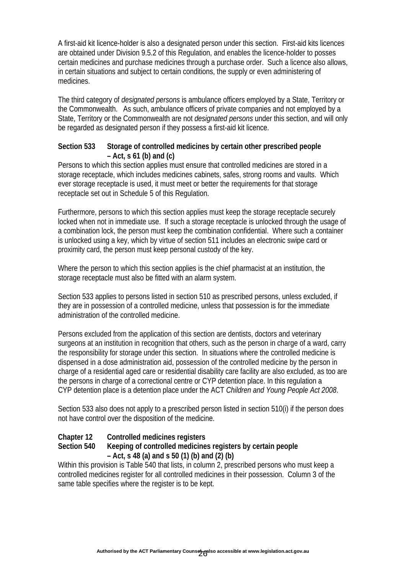A first-aid kit licence-holder is also a designated person under this section. First-aid kits licences are obtained under Division 9.5.2 of this Regulation, and enables the licence-holder to posses certain medicines and purchase medicines through a purchase order. Such a licence also allows, in certain situations and subject to certain conditions, the supply or even administering of medicines.

The third category of *designated persons* is ambulance officers employed by a State, Territory or the Commonwealth. As such, ambulance officers of private companies and not employed by a State, Territory or the Commonwealth are not *designated persons* under this section, and will only be regarded as designated person if they possess a first-aid kit licence.

#### **Section 533 Storage of controlled medicines by certain other prescribed people – Act, s 61 (b) and (c)**

Persons to which this section applies must ensure that controlled medicines are stored in a storage receptacle, which includes medicines cabinets, safes, strong rooms and vaults. Which ever storage receptacle is used, it must meet or better the requirements for that storage receptacle set out in Schedule 5 of this Regulation.

Furthermore, persons to which this section applies must keep the storage receptacle securely locked when not in immediate use. If such a storage receptacle is unlocked through the usage of a combination lock, the person must keep the combination confidential. Where such a container is unlocked using a key, which by virtue of section 511 includes an electronic swipe card or proximity card, the person must keep personal custody of the key.

Where the person to which this section applies is the chief pharmacist at an institution, the storage receptacle must also be fitted with an alarm system.

Section 533 applies to persons listed in section 510 as prescribed persons, unless excluded, if they are in possession of a controlled medicine, unless that possession is for the immediate administration of the controlled medicine.

Persons excluded from the application of this section are dentists, doctors and veterinary surgeons at an institution in recognition that others, such as the person in charge of a ward, carry the responsibility for storage under this section. In situations where the controlled medicine is dispensed in a dose administration aid, possession of the controlled medicine by the person in charge of a residential aged care or residential disability care facility are also excluded, as too are the persons in charge of a correctional centre or CYP detention place. In this regulation a CYP detention place is a detention place under the ACT *Children and Young People Act 2008*.

Section 533 also does not apply to a prescribed person listed in section 510(i) if the person does not have control over the disposition of the medicine.

## **Chapter 12 Controlled medicines registers**

### **Section 540 Keeping of controlled medicines registers by certain people – Act, s 48 (a) and s 50 (1) (b) and (2) (b)**

Within this provision is Table 540 that lists, in column 2, prescribed persons who must keep a controlled medicines register for all controlled medicines in their possession. Column 3 of the same table specifies where the register is to be kept.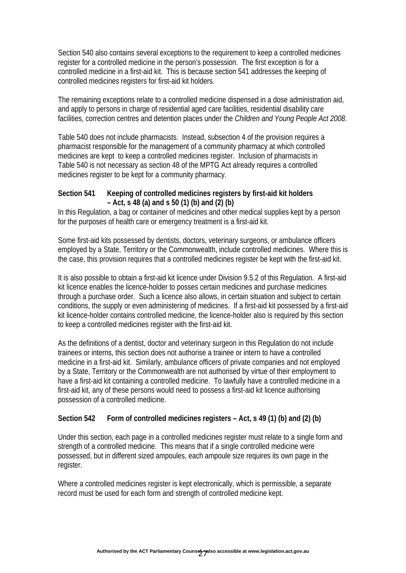Section 540 also contains several exceptions to the requirement to keep a controlled medicines register for a controlled medicine in the person's possession. The first exception is for a controlled medicine in a first-aid kit. This is because section 541 addresses the keeping of controlled medicines registers for first-aid kit holders.

The remaining exceptions relate to a controlled medicine dispensed in a dose administration aid, and apply to persons in charge of residential aged care facilities, residential disability care facilities, correction centres and detention places under the *Children and Young People Act 2008*.

Table 540 does not include pharmacists. Instead, subsection 4 of the provision requires a pharmacist responsible for the management of a community pharmacy at which controlled medicines are kept to keep a controlled medicines register. Inclusion of pharmacists in Table 540 is not necessary as section 48 of the MPTG Act already requires a controlled medicines register to be kept for a community pharmacy.

#### **Section 541 Keeping of controlled medicines registers by first-aid kit holders – Act, s 48 (a) and s 50 (1) (b) and (2) (b)**

In this Regulation, a bag or container of medicines and other medical supplies kept by a person for the purposes of health care or emergency treatment is a first-aid kit.

Some first-aid kits possessed by dentists, doctors, veterinary surgeons, or ambulance officers employed by a State, Territory or the Commonwealth, include controlled medicines. Where this is the case, this provision requires that a controlled medicines register be kept with the first-aid kit.

It is also possible to obtain a first-aid kit licence under Division 9.5.2 of this Regulation. A first-aid kit licence enables the licence-holder to posses certain medicines and purchase medicines through a purchase order. Such a licence also allows, in certain situation and subject to certain conditions, the supply or even administering of medicines. If a first-aid kit possessed by a first-aid kit licence-holder contains controlled medicine, the licence-holder also is required by this section to keep a controlled medicines register with the first-aid kit.

As the definitions of a dentist, doctor and veterinary surgeon in this Regulation do not include trainees or interns, this section does not authorise a trainee or intern to have a controlled medicine in a first-aid kit. Similarly, ambulance officers of private companies and not employed by a State, Territory or the Commonwealth are not authorised by virtue of their employment to have a first-aid kit containing a controlled medicine. To lawfully have a controlled medicine in a first-aid kit, any of these persons would need to possess a first-aid kit licence authorising possession of a controlled medicine.

## **Section 542 Form of controlled medicines registers – Act, s 49 (1) (b) and (2) (b)**

Under this section, each page in a controlled medicines register must relate to a single form and strength of a controlled medicine. This means that if a single controlled medicine were possessed, but in different sized ampoules, each ampoule size requires its own page in the register.

Where a controlled medicines register is kept electronically, which is permissible, a separate record must be used for each form and strength of controlled medicine kept.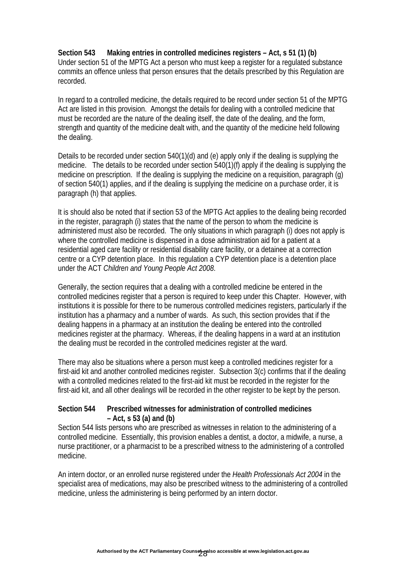#### **Section 543 Making entries in controlled medicines registers – Act, s 51 (1) (b)**  Under section 51 of the MPTG Act a person who must keep a register for a regulated substance commits an offence unless that person ensures that the details prescribed by this Regulation are recorded.

In regard to a controlled medicine, the details required to be record under section 51 of the MPTG Act are listed in this provision. Amongst the details for dealing with a controlled medicine that must be recorded are the nature of the dealing itself, the date of the dealing, and the form, strength and quantity of the medicine dealt with, and the quantity of the medicine held following the dealing.

Details to be recorded under section 540(1)(d) and (e) apply only if the dealing is supplying the medicine. The details to be recorded under section 540(1)(f) apply if the dealing is supplying the medicine on prescription. If the dealing is supplying the medicine on a requisition, paragraph (g) of section 540(1) applies, and if the dealing is supplying the medicine on a purchase order, it is paragraph (h) that applies.

It is should also be noted that if section 53 of the MPTG Act applies to the dealing being recorded in the register, paragraph (i) states that the name of the person to whom the medicine is administered must also be recorded. The only situations in which paragraph (i) does not apply is where the controlled medicine is dispensed in a dose administration aid for a patient at a residential aged care facility or residential disability care facility, or a detainee at a correction centre or a CYP detention place. In this regulation a CYP detention place is a detention place under the ACT *Children and Young People Act 2008*.

Generally, the section requires that a dealing with a controlled medicine be entered in the controlled medicines register that a person is required to keep under this Chapter. However, with institutions it is possible for there to be numerous controlled medicines registers, particularly if the institution has a pharmacy and a number of wards. As such, this section provides that if the dealing happens in a pharmacy at an institution the dealing be entered into the controlled medicines register at the pharmacy. Whereas, if the dealing happens in a ward at an institution the dealing must be recorded in the controlled medicines register at the ward.

There may also be situations where a person must keep a controlled medicines register for a first-aid kit and another controlled medicines register. Subsection 3(c) confirms that if the dealing with a controlled medicines related to the first-aid kit must be recorded in the register for the first-aid kit, and all other dealings will be recorded in the other register to be kept by the person.

#### **Section 544 Prescribed witnesses for administration of controlled medicines – Act, s 53 (a) and (b)**

Section 544 lists persons who are prescribed as witnesses in relation to the administering of a controlled medicine. Essentially, this provision enables a dentist, a doctor, a midwife, a nurse, a nurse practitioner, or a pharmacist to be a prescribed witness to the administering of a controlled medicine.

An intern doctor, or an enrolled nurse registered under the *Health Professionals Act 2004* in the specialist area of medications, may also be prescribed witness to the administering of a controlled medicine, unless the administering is being performed by an intern doctor.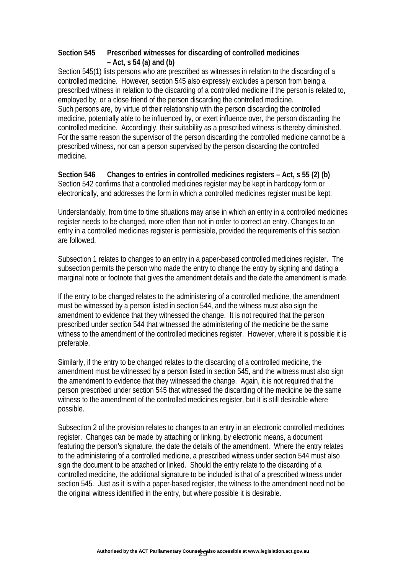#### **Section 545 Prescribed witnesses for discarding of controlled medicines – Act, s 54 (a) and (b)**

Section 545(1) lists persons who are prescribed as witnesses in relation to the discarding of a controlled medicine. However, section 545 also expressly excludes a person from being a prescribed witness in relation to the discarding of a controlled medicine if the person is related to, employed by, or a close friend of the person discarding the controlled medicine. Such persons are, by virtue of their relationship with the person discarding the controlled medicine, potentially able to be influenced by, or exert influence over, the person discarding the controlled medicine. Accordingly, their suitability as a prescribed witness is thereby diminished. For the same reason the supervisor of the person discarding the controlled medicine cannot be a prescribed witness, nor can a person supervised by the person discarding the controlled medicine.

**Section 546 Changes to entries in controlled medicines registers – Act, s 55 (2) (b)**  Section 542 confirms that a controlled medicines register may be kept in hardcopy form or electronically, and addresses the form in which a controlled medicines register must be kept.

Understandably, from time to time situations may arise in which an entry in a controlled medicines register needs to be changed, more often than not in order to correct an entry. Changes to an entry in a controlled medicines register is permissible, provided the requirements of this section are followed.

Subsection 1 relates to changes to an entry in a paper-based controlled medicines register. The subsection permits the person who made the entry to change the entry by signing and dating a marginal note or footnote that gives the amendment details and the date the amendment is made.

If the entry to be changed relates to the administering of a controlled medicine, the amendment must be witnessed by a person listed in section 544, and the witness must also sign the amendment to evidence that they witnessed the change. It is not required that the person prescribed under section 544 that witnessed the administering of the medicine be the same witness to the amendment of the controlled medicines register. However, where it is possible it is preferable.

Similarly, if the entry to be changed relates to the discarding of a controlled medicine, the amendment must be witnessed by a person listed in section 545, and the witness must also sign the amendment to evidence that they witnessed the change. Again, it is not required that the person prescribed under section 545 that witnessed the discarding of the medicine be the same witness to the amendment of the controlled medicines register, but it is still desirable where possible.

Subsection 2 of the provision relates to changes to an entry in an electronic controlled medicines register. Changes can be made by attaching or linking, by electronic means, a document featuring the person's signature, the date the details of the amendment. Where the entry relates to the administering of a controlled medicine, a prescribed witness under section 544 must also sign the document to be attached or linked. Should the entry relate to the discarding of a controlled medicine, the additional signature to be included is that of a prescribed witness under section 545. Just as it is with a paper-based register, the witness to the amendment need not be the original witness identified in the entry, but where possible it is desirable.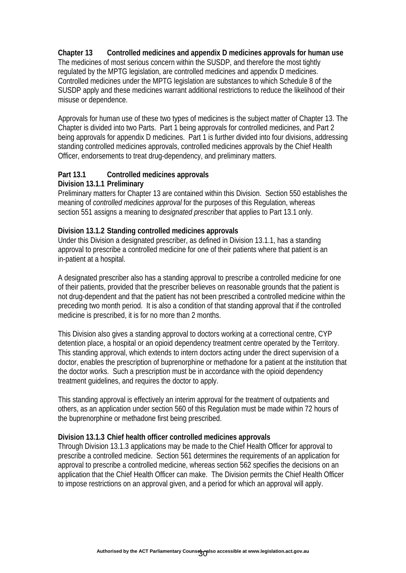### **Chapter 13 Controlled medicines and appendix D medicines approvals for human use**

The medicines of most serious concern within the SUSDP, and therefore the most tightly regulated by the MPTG legislation, are controlled medicines and appendix D medicines. Controlled medicines under the MPTG legislation are substances to which Schedule 8 of the SUSDP apply and these medicines warrant additional restrictions to reduce the likelihood of their misuse or dependence.

Approvals for human use of these two types of medicines is the subject matter of Chapter 13. The Chapter is divided into two Parts. Part 1 being approvals for controlled medicines, and Part 2 being approvals for appendix D medicines. Part 1 is further divided into four divisions, addressing standing controlled medicines approvals, controlled medicines approvals by the Chief Health Officer, endorsements to treat drug-dependency, and preliminary matters.

#### **Part 13.1 Controlled medicines approvals Division 13.1.1 Preliminary**

Preliminary matters for Chapter 13 are contained within this Division. Section 550 establishes the meaning of *controlled medicines approval* for the purposes of this Regulation, whereas section 551 assigns a meaning to *designated prescriber* that applies to Part 13.1 only.

#### **Division 13.1.2 Standing controlled medicines approvals**

Under this Division a designated prescriber, as defined in Division 13.1.1, has a standing approval to prescribe a controlled medicine for one of their patients where that patient is an in-patient at a hospital.

A designated prescriber also has a standing approval to prescribe a controlled medicine for one of their patients, provided that the prescriber believes on reasonable grounds that the patient is not drug-dependent and that the patient has not been prescribed a controlled medicine within the preceding two month period. It is also a condition of that standing approval that if the controlled medicine is prescribed, it is for no more than 2 months.

This Division also gives a standing approval to doctors working at a correctional centre, CYP detention place, a hospital or an opioid dependency treatment centre operated by the Territory. This standing approval, which extends to intern doctors acting under the direct supervision of a doctor, enables the prescription of buprenorphine or methadone for a patient at the institution that the doctor works. Such a prescription must be in accordance with the opioid dependency treatment guidelines, and requires the doctor to apply.

This standing approval is effectively an interim approval for the treatment of outpatients and others, as an application under section 560 of this Regulation must be made within 72 hours of the buprenorphine or methadone first being prescribed.

#### **Division 13.1.3 Chief health officer controlled medicines approvals**

Through Division 13.1.3 applications may be made to the Chief Health Officer for approval to prescribe a controlled medicine. Section 561 determines the requirements of an application for approval to prescribe a controlled medicine, whereas section 562 specifies the decisions on an application that the Chief Health Officer can make. The Division permits the Chief Health Officer to impose restrictions on an approval given, and a period for which an approval will apply.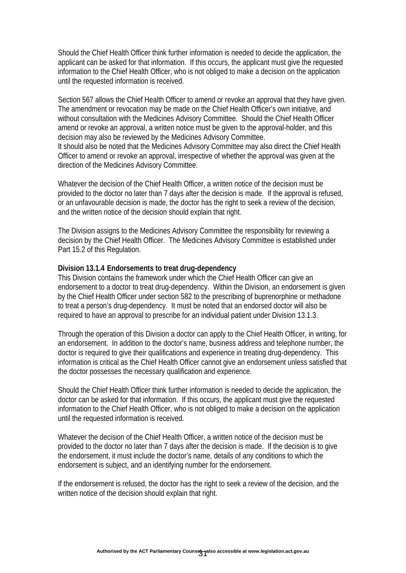Should the Chief Health Officer think further information is needed to decide the application, the applicant can be asked for that information. If this occurs, the applicant must give the requested information to the Chief Health Officer, who is not obliged to make a decision on the application until the requested information is received.

Section 567 allows the Chief Health Officer to amend or revoke an approval that they have given. The amendment or revocation may be made on the Chief Health Officer's own initiative, and without consultation with the Medicines Advisory Committee. Should the Chief Health Officer amend or revoke an approval, a written notice must be given to the approval-holder, and this decision may also be reviewed by the Medicines Advisory Committee. It should also be noted that the Medicines Advisory Committee may also direct the Chief Health Officer to amend or revoke an approval, irrespective of whether the approval was given at the

direction of the Medicines Advisory Committee.

Whatever the decision of the Chief Health Officer, a written notice of the decision must be provided to the doctor no later than 7 days after the decision is made. If the approval is refused, or an unfavourable decision is made, the doctor has the right to seek a review of the decision, and the written notice of the decision should explain that right.

The Division assigns to the Medicines Advisory Committee the responsibility for reviewing a decision by the Chief Health Officer. The Medicines Advisory Committee is established under Part 15.2 of this Regulation.

#### **Division 13.1.4 Endorsements to treat drug-dependency**

This Division contains the framework under which the Chief Health Officer can give an endorsement to a doctor to treat drug-dependency. Within the Division, an endorsement is given by the Chief Health Officer under section 582 to the prescribing of buprenorphine or methadone to treat a person's drug-dependency. It must be noted that an endorsed doctor will also be required to have an approval to prescribe for an individual patient under Division 13.1.3.

Through the operation of this Division a doctor can apply to the Chief Health Officer, in writing, for an endorsement. In addition to the doctor's name, business address and telephone number, the doctor is required to give their qualifications and experience in treating drug-dependency. This information is critical as the Chief Health Officer cannot give an endorsement unless satisfied that the doctor possesses the necessary qualification and experience.

Should the Chief Health Officer think further information is needed to decide the application, the doctor can be asked for that information. If this occurs, the applicant must give the requested information to the Chief Health Officer, who is not obliged to make a decision on the application until the requested information is received.

Whatever the decision of the Chief Health Officer, a written notice of the decision must be provided to the doctor no later than 7 days after the decision is made. If the decision is to give the endorsement, it must include the doctor's name, details of any conditions to which the endorsement is subject, and an identifying number for the endorsement.

If the endorsement is refused, the doctor has the right to seek a review of the decision, and the written notice of the decision should explain that right.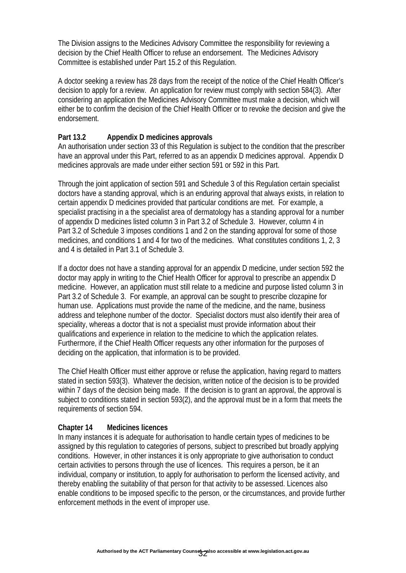The Division assigns to the Medicines Advisory Committee the responsibility for reviewing a decision by the Chief Health Officer to refuse an endorsement. The Medicines Advisory Committee is established under Part 15.2 of this Regulation.

A doctor seeking a review has 28 days from the receipt of the notice of the Chief Health Officer's decision to apply for a review. An application for review must comply with section 584(3). After considering an application the Medicines Advisory Committee must make a decision, which will either be to confirm the decision of the Chief Health Officer or to revoke the decision and give the endorsement.

#### **Part 13.2 Appendix D medicines approvals**

An authorisation under section 33 of this Regulation is subject to the condition that the prescriber have an approval under this Part, referred to as an appendix D medicines approval. Appendix D medicines approvals are made under either section 591 or 592 in this Part.

Through the joint application of section 591 and Schedule 3 of this Regulation certain specialist doctors have a standing approval, which is an enduring approval that always exists, in relation to certain appendix D medicines provided that particular conditions are met. For example, a specialist practising in a the specialist area of dermatology has a standing approval for a number of appendix D medicines listed column 3 in Part 3.2 of Schedule 3. However, column 4 in Part 3.2 of Schedule 3 imposes conditions 1 and 2 on the standing approval for some of those medicines, and conditions 1 and 4 for two of the medicines. What constitutes conditions 1, 2, 3 and 4 is detailed in Part 3.1 of Schedule 3.

If a doctor does not have a standing approval for an appendix D medicine, under section 592 the doctor may apply in writing to the Chief Health Officer for approval to prescribe an appendix D medicine. However, an application must still relate to a medicine and purpose listed column 3 in Part 3.2 of Schedule 3. For example, an approval can be sought to prescribe clozapine for human use. Applications must provide the name of the medicine, and the name, business address and telephone number of the doctor. Specialist doctors must also identify their area of speciality, whereas a doctor that is not a specialist must provide information about their qualifications and experience in relation to the medicine to which the application relates. Furthermore, if the Chief Health Officer requests any other information for the purposes of deciding on the application, that information is to be provided.

The Chief Health Officer must either approve or refuse the application, having regard to matters stated in section 593(3). Whatever the decision, written notice of the decision is to be provided within 7 days of the decision being made. If the decision is to grant an approval, the approval is subject to conditions stated in section 593(2), and the approval must be in a form that meets the requirements of section 594.

#### **Chapter 14 Medicines licences**

In many instances it is adequate for authorisation to handle certain types of medicines to be assigned by this regulation to categories of persons, subject to prescribed but broadly applying conditions. However, in other instances it is only appropriate to give authorisation to conduct certain activities to persons through the use of licences. This requires a person, be it an individual, company or institution, to apply for authorisation to perform the licensed activity, and thereby enabling the suitability of that person for that activity to be assessed. Licences also enable conditions to be imposed specific to the person, or the circumstances, and provide further enforcement methods in the event of improper use.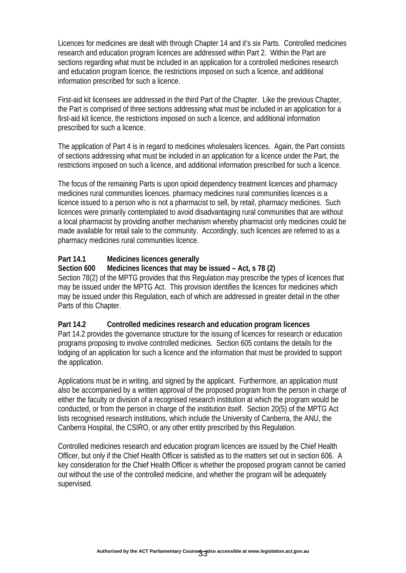Licences for medicines are dealt with through Chapter 14 and it's six Parts. Controlled medicines research and education program licences are addressed within Part 2. Within the Part are sections regarding what must be included in an application for a controlled medicines research and education program licence, the restrictions imposed on such a licence, and additional information prescribed for such a licence.

First-aid kit licensees are addressed in the third Part of the Chapter. Like the previous Chapter, the Part is comprised of three sections addressing what must be included in an application for a first-aid kit licence, the restrictions imposed on such a licence, and additional information prescribed for such a licence.

The application of Part 4 is in regard to medicines wholesalers licences. Again, the Part consists of sections addressing what must be included in an application for a licence under the Part, the restrictions imposed on such a licence, and additional information prescribed for such a licence.

The focus of the remaining Parts is upon opioid dependency treatment licences and pharmacy medicines rural communities licences. pharmacy medicines rural communities licences is a licence issued to a person who is not a pharmacist to sell, by retail, pharmacy medicines. Such licences were primarily contemplated to avoid disadvantaging rural communities that are without a local pharmacist by providing another mechanism whereby pharmacist only medicines could be made available for retail sale to the community. Accordingly, such licences are referred to as a pharmacy medicines rural communities licence.

### **Part 14.1 Medicines licences generally**

#### **Section 600 Medicines licences that may be issued – Act, s 78 (2)**

Section 78(2) of the MPTG provides that this Regulation may prescribe the types of licences that may be issued under the MPTG Act. This provision identifies the licences for medicines which may be issued under this Regulation, each of which are addressed in greater detail in the other Parts of this Chapter.

#### **Part 14.2 Controlled medicines research and education program licences**

Part 14.2 provides the governance structure for the issuing of licences for research or education programs proposing to involve controlled medicines. Section 605 contains the details for the lodging of an application for such a licence and the information that must be provided to support the application.

Applications must be in writing, and signed by the applicant. Furthermore, an application must also be accompanied by a written approval of the proposed program from the person in charge of either the faculty or division of a recognised research institution at which the program would be conducted, or from the person in charge of the institution itself. Section 20(5) of the MPTG Act lists recognised research institutions, which include the University of Canberra, the ANU, the Canberra Hospital, the CSIRO, or any other entity prescribed by this Regulation.

Controlled medicines research and education program licences are issued by the Chief Health Officer, but only if the Chief Health Officer is satisfied as to the matters set out in section 606. A key consideration for the Chief Health Officer is whether the proposed program cannot be carried out without the use of the controlled medicine, and whether the program will be adequately supervised.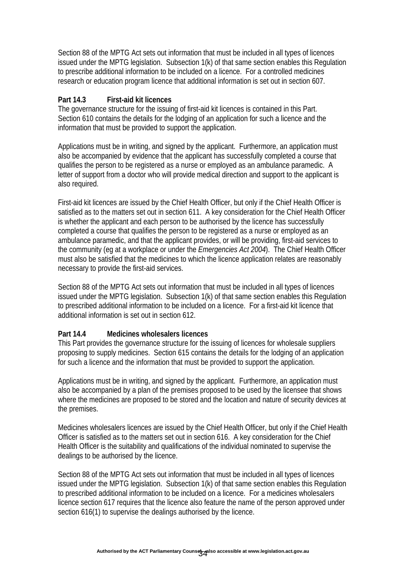Section 88 of the MPTG Act sets out information that must be included in all types of licences issued under the MPTG legislation. Subsection 1(k) of that same section enables this Regulation to prescribe additional information to be included on a licence. For a controlled medicines research or education program licence that additional information is set out in section 607.

#### **Part 14.3 First-aid kit licences**

The governance structure for the issuing of first-aid kit licences is contained in this Part. Section 610 contains the details for the lodging of an application for such a licence and the information that must be provided to support the application.

Applications must be in writing, and signed by the applicant. Furthermore, an application must also be accompanied by evidence that the applicant has successfully completed a course that qualifies the person to be registered as a nurse or employed as an ambulance paramedic. A letter of support from a doctor who will provide medical direction and support to the applicant is also required.

First-aid kit licences are issued by the Chief Health Officer, but only if the Chief Health Officer is satisfied as to the matters set out in section 611. A key consideration for the Chief Health Officer is whether the applicant and each person to be authorised by the licence has successfully completed a course that qualifies the person to be registered as a nurse or employed as an ambulance paramedic, and that the applicant provides, or will be providing, first-aid services to the community (eg at a workplace or under the *Emergencies Act 2004*). The Chief Health Officer must also be satisfied that the medicines to which the licence application relates are reasonably necessary to provide the first-aid services.

Section 88 of the MPTG Act sets out information that must be included in all types of licences issued under the MPTG legislation. Subsection 1(k) of that same section enables this Regulation to prescribed additional information to be included on a licence. For a first-aid kit licence that additional information is set out in section 612.

#### **Part 14.4 Medicines wholesalers licences**

This Part provides the governance structure for the issuing of licences for wholesale suppliers proposing to supply medicines. Section 615 contains the details for the lodging of an application for such a licence and the information that must be provided to support the application.

Applications must be in writing, and signed by the applicant. Furthermore, an application must also be accompanied by a plan of the premises proposed to be used by the licensee that shows where the medicines are proposed to be stored and the location and nature of security devices at the premises.

Medicines wholesalers licences are issued by the Chief Health Officer, but only if the Chief Health Officer is satisfied as to the matters set out in section 616. A key consideration for the Chief Health Officer is the suitability and qualifications of the individual nominated to supervise the dealings to be authorised by the licence.

Section 88 of the MPTG Act sets out information that must be included in all types of licences issued under the MPTG legislation. Subsection 1(k) of that same section enables this Regulation to prescribed additional information to be included on a licence. For a medicines wholesalers licence section 617 requires that the licence also feature the name of the person approved under section 616(1) to supervise the dealings authorised by the licence.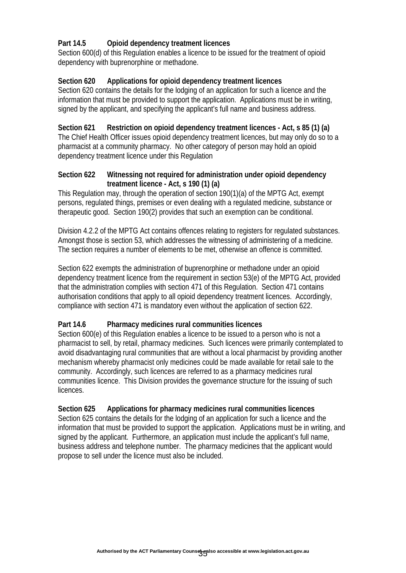### **Part 14.5 Opioid dependency treatment licences**

Section 600(d) of this Regulation enables a licence to be issued for the treatment of opioid dependency with buprenorphine or methadone.

#### **Section 620 Applications for opioid dependency treatment licences**

Section 620 contains the details for the lodging of an application for such a licence and the information that must be provided to support the application. Applications must be in writing, signed by the applicant, and specifying the applicant's full name and business address.

#### **Section 621 Restriction on opioid dependency treatment licences - Act, s 85 (1) (a)**

The Chief Health Officer issues opioid dependency treatment licences, but may only do so to a pharmacist at a community pharmacy. No other category of person may hold an opioid dependency treatment licence under this Regulation

#### **Section 622 Witnessing not required for administration under opioid dependency treatment licence - Act, s 190 (1) (a)**

This Regulation may, through the operation of section 190(1)(a) of the MPTG Act, exempt persons, regulated things, premises or even dealing with a regulated medicine, substance or therapeutic good. Section 190(2) provides that such an exemption can be conditional.

Division 4.2.2 of the MPTG Act contains offences relating to registers for regulated substances. Amongst those is section 53, which addresses the witnessing of administering of a medicine. The section requires a number of elements to be met, otherwise an offence is committed.

Section 622 exempts the administration of buprenorphine or methadone under an opioid dependency treatment licence from the requirement in section 53(e) of the MPTG Act, provided that the administration complies with section 471 of this Regulation. Section 471 contains authorisation conditions that apply to all opioid dependency treatment licences. Accordingly, compliance with section 471 is mandatory even without the application of section 622.

#### **Part 14.6 Pharmacy medicines rural communities licences**

Section 600(e) of this Regulation enables a licence to be issued to a person who is not a pharmacist to sell, by retail, pharmacy medicines. Such licences were primarily contemplated to avoid disadvantaging rural communities that are without a local pharmacist by providing another mechanism whereby pharmacist only medicines could be made available for retail sale to the community. Accordingly, such licences are referred to as a pharmacy medicines rural communities licence. This Division provides the governance structure for the issuing of such licences.

#### **Section 625 Applications for pharmacy medicines rural communities licences**

Section 625 contains the details for the lodging of an application for such a licence and the information that must be provided to support the application. Applications must be in writing, and signed by the applicant. Furthermore, an application must include the applicant's full name, business address and telephone number. The pharmacy medicines that the applicant would propose to sell under the licence must also be included.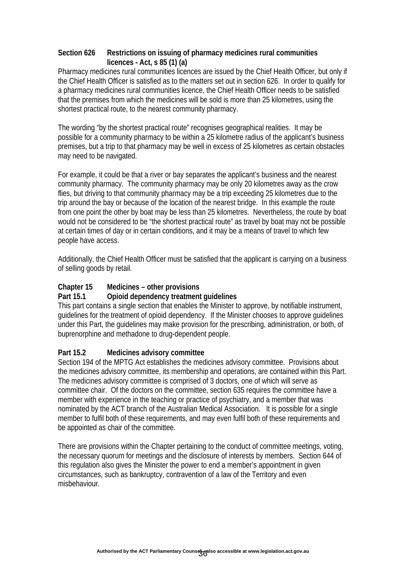### **Section 626 Restrictions on issuing of pharmacy medicines rural communities licences - Act, s 85 (1) (a)**

Pharmacy medicines rural communities licences are issued by the Chief Health Officer, but only if the Chief Health Officer is satisfied as to the matters set out in section 626. In order to qualify for a pharmacy medicines rural communities licence, the Chief Health Officer needs to be satisfied that the premises from which the medicines will be sold is more than 25 kilometres, using the shortest practical route, to the nearest community pharmacy.

The wording "by the shortest practical route" recognises geographical realities. It may be possible for a community pharmacy to be within a 25 kilometre radius of the applicant's business premises, but a trip to that pharmacy may be well in excess of 25 kilometres as certain obstacles may need to be navigated.

For example, it could be that a river or bay separates the applicant's business and the nearest community pharmacy. The community pharmacy may be only 20 kilometres away as the crow flies, but driving to that community pharmacy may be a trip exceeding 25 kilometres due to the trip around the bay or because of the location of the nearest bridge. In this example the route from one point the other by boat may be less than 25 kilometres. Nevertheless, the route by boat would not be considered to be "the shortest practical route" as travel by boat may not be possible at certain times of day or in certain conditions, and it may be a means of travel to which few people have access.

Additionally, the Chief Health Officer must be satisfied that the applicant is carrying on a business of selling goods by retail.

## **Chapter 15 Medicines – other provisions**

## **Part 15.1 Opioid dependency treatment guidelines**

This part contains a single section that enables the Minister to approve, by notifiable instrument, guidelines for the treatment of opioid dependency. If the Minister chooses to approve guidelines under this Part, the guidelines may make provision for the prescribing, administration, or both, of buprenorphine and methadone to drug-dependent people.

## **Part 15.2 Medicines advisory committee**

Section 194 of the MPTG Act establishes the medicines advisory committee. Provisions about the medicines advisory committee, its membership and operations, are contained within this Part. The medicines advisory committee is comprised of 3 doctors, one of which will serve as committee chair. Of the doctors on the committee, section 635 requires the committee have a member with experience in the teaching or practice of psychiatry, and a member that was nominated by the ACT branch of the Australian Medical Association. It is possible for a single member to fulfil both of these requirements, and may even fulfil both of these requirements and be appointed as chair of the committee.

There are provisions within the Chapter pertaining to the conduct of committee meetings, voting, the necessary quorum for meetings and the disclosure of interests by members. Section 644 of this regulation also gives the Minister the power to end a member's appointment in given circumstances, such as bankruptcy, contravention of a law of the Territory and even misbehaviour.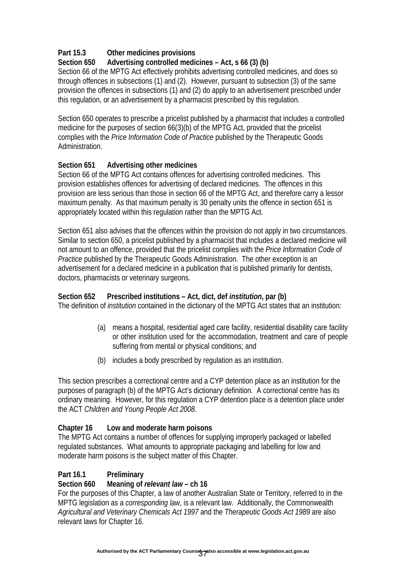# **Part 15.3 Other medicines provisions**

# **Section 650 Advertising controlled medicines – Act, s 66 (3) (b)**

Section 66 of the MPTG Act effectively prohibits advertising controlled medicines, and does so through offences in subsections (1) and (2). However, pursuant to subsection (3) of the same provision the offences in subsections (1) and (2) do apply to an advertisement prescribed under this regulation, or an advertisement by a pharmacist prescribed by this regulation.

Section 650 operates to prescribe a pricelist published by a pharmacist that includes a controlled medicine for the purposes of section 66(3)(b) of the MPTG Act, provided that the pricelist complies with the *Price Information Code of Practice* published by the Therapeutic Goods Administration.

## **Section 651 Advertising other medicines**

Section 66 of the MPTG Act contains offences for advertising controlled medicines. This provision establishes offences for advertising of declared medicines. The offences in this provision are less serious than those in section 66 of the MPTG Act, and therefore carry a lessor maximum penalty. As that maximum penalty is 30 penalty units the offence in section 651 is appropriately located within this regulation rather than the MPTG Act.

Section 651 also advises that the offences within the provision do not apply in two circumstances. Similar to section 650, a pricelist published by a pharmacist that includes a declared medicine will not amount to an offence, provided that the pricelist complies with the *Price Information Code of Practice* published by the Therapeutic Goods Administration. The other exception is an advertisement for a declared medicine in a publication that is published primarily for dentists, doctors, pharmacists or veterinary surgeons.

## **Section 652 Prescribed institutions – Act, dict, def** *institution***, par (b)**

The definition of *institution* contained in the dictionary of the MPTG Act states that an institution:

- (a) means a hospital, residential aged care facility, residential disability care facility or other institution used for the accommodation, treatment and care of people suffering from mental or physical conditions; and
- (b) includes a body prescribed by regulation as an institution.

This section prescribes a correctional centre and a CYP detention place as an institution for the purposes of paragraph (b) of the MPTG Act's dictionary definition. A correctional centre has its ordinary meaning. However, for this regulation a CYP detention place is a detention place under the ACT *Children and Young People Act 2008*.

## **Chapter 16 Low and moderate harm poisons**

The MPTG Act contains a number of offences for supplying improperly packaged or labelled regulated substances. What amounts to appropriate packaging and labelling for low and moderate harm poisons is the subject matter of this Chapter.

## **Part 16.1 Preliminary**

#### **Section 660 Meaning of** *relevant law* **– ch 16**

For the purposes of this Chapter, a law of another Australian State or Territory, referred to in the MPTG legislation as a *corresponding law*, is a relevant law. Additionally, the Commonwealth *Agricultural and Veterinary Chemicals Act 1997* and the *Therapeutic Goods Act 1989* are also relevant laws for Chapter 16.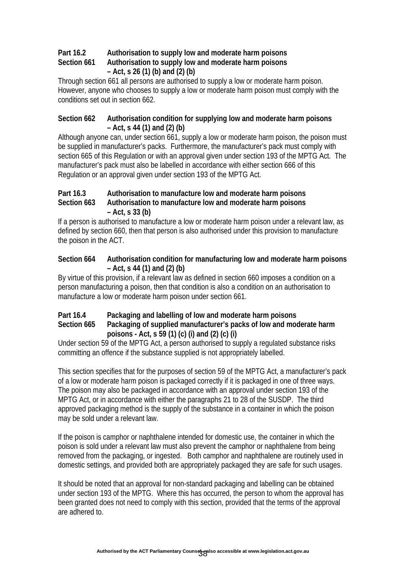# **Part 16.2 Authorisation to supply low and moderate harm poisons Section 661 Authorisation to supply low and moderate harm poisons – Act, s 26 (1) (b) and (2) (b)**

Through section 661 all persons are authorised to supply a low or moderate harm poison. However, anyone who chooses to supply a low or moderate harm poison must comply with the conditions set out in section 662.

### **Section 662 Authorisation condition for supplying low and moderate harm poisons – Act, s 44 (1) and (2) (b)**

Although anyone can, under section 661, supply a low or moderate harm poison, the poison must be supplied in manufacturer's packs. Furthermore, the manufacturer's pack must comply with section 665 of this Regulation or with an approval given under section 193 of the MPTG Act. The manufacturer's pack must also be labelled in accordance with either section 666 of this Regulation or an approval given under section 193 of the MPTG Act.

## **Part 16.3 Authorisation to manufacture low and moderate harm poisons Section 663 Authorisation to manufacture low and moderate harm poisons – Act, s 33 (b)**

If a person is authorised to manufacture a low or moderate harm poison under a relevant law, as defined by section 660, then that person is also authorised under this provision to manufacture the poison in the ACT.

### **Section 664 Authorisation condition for manufacturing low and moderate harm poisons – Act, s 44 (1) and (2) (b)**

By virtue of this provision, if a relevant law as defined in section 660 imposes a condition on a person manufacturing a poison, then that condition is also a condition on an authorisation to manufacture a low or moderate harm poison under section 661.

# **Part 16.4 Packaging and labelling of low and moderate harm poisons**

## **Section 665 Packaging of supplied manufacturer's packs of low and moderate harm poisons - Act, s 59 (1) (c) (i) and (2) (c) (i)**

Under section 59 of the MPTG Act, a person authorised to supply a regulated substance risks committing an offence if the substance supplied is not appropriately labelled.

This section specifies that for the purposes of section 59 of the MPTG Act, a manufacturer's pack of a low or moderate harm poison is packaged correctly if it is packaged in one of three ways. The poison may also be packaged in accordance with an approval under section 193 of the MPTG Act, or in accordance with either the paragraphs 21 to 28 of the SUSDP. The third approved packaging method is the supply of the substance in a container in which the poison may be sold under a relevant law.

If the poison is camphor or naphthalene intended for domestic use, the container in which the poison is sold under a relevant law must also prevent the camphor or naphthalene from being removed from the packaging, or ingested. Both camphor and naphthalene are routinely used in domestic settings, and provided both are appropriately packaged they are safe for such usages.

It should be noted that an approval for non-standard packaging and labelling can be obtained under section 193 of the MPTG. Where this has occurred, the person to whom the approval has been granted does not need to comply with this section, provided that the terms of the approval are adhered to.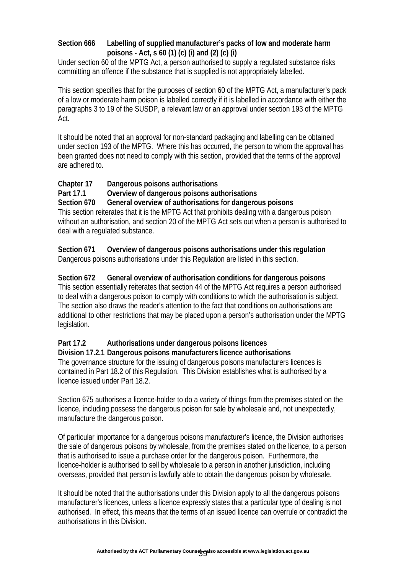#### **Section 666 Labelling of supplied manufacturer's packs of low and moderate harm poisons - Act, s 60 (1) (c) (i) and (2) (c) (i)**

Under section 60 of the MPTG Act, a person authorised to supply a regulated substance risks committing an offence if the substance that is supplied is not appropriately labelled.

This section specifies that for the purposes of section 60 of the MPTG Act, a manufacturer's pack of a low or moderate harm poison is labelled correctly if it is labelled in accordance with either the paragraphs 3 to 19 of the SUSDP, a relevant law or an approval under section 193 of the MPTG Act.

It should be noted that an approval for non-standard packaging and labelling can be obtained under section 193 of the MPTG. Where this has occurred, the person to whom the approval has been granted does not need to comply with this section, provided that the terms of the approval are adhered to.

## **Chapter 17 Dangerous poisons authorisations**

### **Part 17.1 Overview of dangerous poisons authorisations**

**Section 670 General overview of authorisations for dangerous poisons**  This section reiterates that it is the MPTG Act that prohibits dealing with a dangerous poison without an authorisation, and section 20 of the MPTG Act sets out when a person is authorised to deal with a regulated substance.

**Section 671 Overview of dangerous poisons authorisations under this regulation**  Dangerous poisons authorisations under this Regulation are listed in this section.

#### **Section 672 General overview of authorisation conditions for dangerous poisons**

This section essentially reiterates that section 44 of the MPTG Act requires a person authorised to deal with a dangerous poison to comply with conditions to which the authorisation is subject. The section also draws the reader's attention to the fact that conditions on authorisations are additional to other restrictions that may be placed upon a person's authorisation under the MPTG legislation.

## **Part 17.2 Authorisations under dangerous poisons licences**

#### **Division 17.2.1 Dangerous poisons manufacturers licence authorisations**

The governance structure for the issuing of dangerous poisons manufacturers licences is contained in Part 18.2 of this Regulation. This Division establishes what is authorised by a licence issued under Part 18.2.

Section 675 authorises a licence-holder to do a variety of things from the premises stated on the licence, including possess the dangerous poison for sale by wholesale and, not unexpectedly, manufacture the dangerous poison.

Of particular importance for a dangerous poisons manufacturer's licence, the Division authorises the sale of dangerous poisons by wholesale, from the premises stated on the licence, to a person that is authorised to issue a purchase order for the dangerous poison. Furthermore, the licence-holder is authorised to sell by wholesale to a person in another jurisdiction, including overseas, provided that person is lawfully able to obtain the dangerous poison by wholesale.

It should be noted that the authorisations under this Division apply to all the dangerous poisons manufacturer's licences, unless a licence expressly states that a particular type of dealing is not authorised. In effect, this means that the terms of an issued licence can overrule or contradict the authorisations in this Division.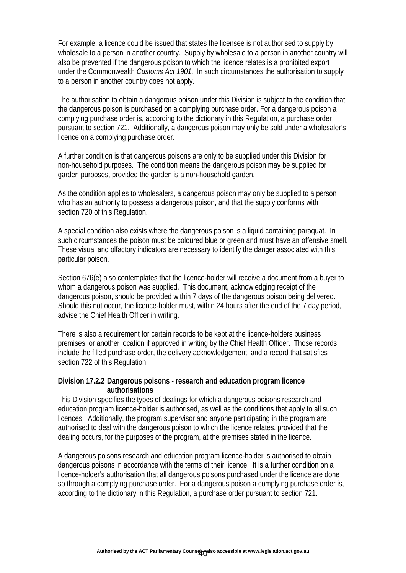For example, a licence could be issued that states the licensee is not authorised to supply by wholesale to a person in another country. Supply by wholesale to a person in another country will also be prevented if the dangerous poison to which the licence relates is a prohibited export under the Commonwealth *Customs Act 1901*. In such circumstances the authorisation to supply to a person in another country does not apply.

The authorisation to obtain a dangerous poison under this Division is subject to the condition that the dangerous poison is purchased on a complying purchase order. For a dangerous poison a complying purchase order is, according to the dictionary in this Regulation, a purchase order pursuant to section 721. Additionally, a dangerous poison may only be sold under a wholesaler's licence on a complying purchase order.

A further condition is that dangerous poisons are only to be supplied under this Division for non-household purposes. The condition means the dangerous poison may be supplied for garden purposes, provided the garden is a non-household garden.

As the condition applies to wholesalers, a dangerous poison may only be supplied to a person who has an authority to possess a dangerous poison, and that the supply conforms with section 720 of this Regulation.

A special condition also exists where the dangerous poison is a liquid containing paraquat. In such circumstances the poison must be coloured blue or green and must have an offensive smell. These visual and olfactory indicators are necessary to identify the danger associated with this particular poison.

Section 676(e) also contemplates that the licence-holder will receive a document from a buyer to whom a dangerous poison was supplied. This document, acknowledging receipt of the dangerous poison, should be provided within 7 days of the dangerous poison being delivered. Should this not occur, the licence-holder must, within 24 hours after the end of the 7 day period, advise the Chief Health Officer in writing.

There is also a requirement for certain records to be kept at the licence-holders business premises, or another location if approved in writing by the Chief Health Officer. Those records include the filled purchase order, the delivery acknowledgement, and a record that satisfies section 722 of this Regulation.

#### **Division 17.2.2 Dangerous poisons - research and education program licence authorisations**

This Division specifies the types of dealings for which a dangerous poisons research and education program licence-holder is authorised, as well as the conditions that apply to all such licences. Additionally, the program supervisor and anyone participating in the program are authorised to deal with the dangerous poison to which the licence relates, provided that the dealing occurs, for the purposes of the program, at the premises stated in the licence.

A dangerous poisons research and education program licence-holder is authorised to obtain dangerous poisons in accordance with the terms of their licence. It is a further condition on a licence-holder's authorisation that all dangerous poisons purchased under the licence are done so through a complying purchase order. For a dangerous poison a complying purchase order is, according to the dictionary in this Regulation, a purchase order pursuant to section 721.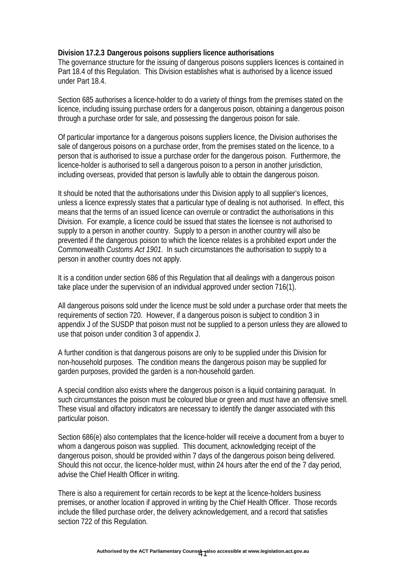#### **Division 17.2.3 Dangerous poisons suppliers licence authorisations**

The governance structure for the issuing of dangerous poisons suppliers licences is contained in Part 18.4 of this Regulation. This Division establishes what is authorised by a licence issued under Part 18.4.

Section 685 authorises a licence-holder to do a variety of things from the premises stated on the licence, including issuing purchase orders for a dangerous poison, obtaining a dangerous poison through a purchase order for sale, and possessing the dangerous poison for sale.

Of particular importance for a dangerous poisons suppliers licence, the Division authorises the sale of dangerous poisons on a purchase order, from the premises stated on the licence, to a person that is authorised to issue a purchase order for the dangerous poison. Furthermore, the licence-holder is authorised to sell a dangerous poison to a person in another jurisdiction, including overseas, provided that person is lawfully able to obtain the dangerous poison.

It should be noted that the authorisations under this Division apply to all supplier's licences, unless a licence expressly states that a particular type of dealing is not authorised. In effect, this means that the terms of an issued licence can overrule or contradict the authorisations in this Division. For example, a licence could be issued that states the licensee is not authorised to supply to a person in another country. Supply to a person in another country will also be prevented if the dangerous poison to which the licence relates is a prohibited export under the Commonwealth *Customs Act 1901*. In such circumstances the authorisation to supply to a person in another country does not apply.

It is a condition under section 686 of this Regulation that all dealings with a dangerous poison take place under the supervision of an individual approved under section 716(1).

All dangerous poisons sold under the licence must be sold under a purchase order that meets the requirements of section 720. However, if a dangerous poison is subject to condition 3 in appendix J of the SUSDP that poison must not be supplied to a person unless they are allowed to use that poison under condition 3 of appendix J.

A further condition is that dangerous poisons are only to be supplied under this Division for non-household purposes. The condition means the dangerous poison may be supplied for garden purposes, provided the garden is a non-household garden.

A special condition also exists where the dangerous poison is a liquid containing paraquat. In such circumstances the poison must be coloured blue or green and must have an offensive smell. These visual and olfactory indicators are necessary to identify the danger associated with this particular poison.

Section 686(e) also contemplates that the licence-holder will receive a document from a buyer to whom a dangerous poison was supplied. This document, acknowledging receipt of the dangerous poison, should be provided within 7 days of the dangerous poison being delivered. Should this not occur, the licence-holder must, within 24 hours after the end of the 7 day period, advise the Chief Health Officer in writing.

There is also a requirement for certain records to be kept at the licence-holders business premises, or another location if approved in writing by the Chief Health Officer. Those records include the filled purchase order, the delivery acknowledgement, and a record that satisfies section 722 of this Regulation.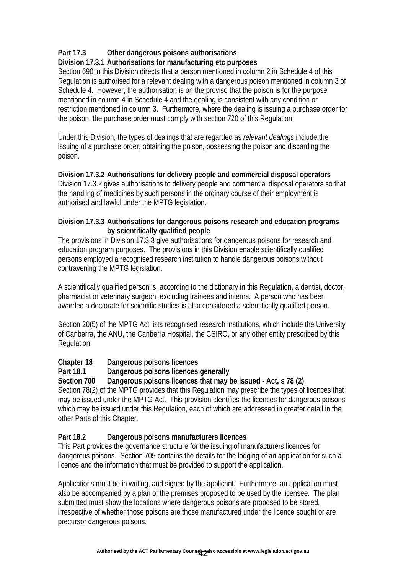# **Part 17.3 Other dangerous poisons authorisations**

# **Division 17.3.1 Authorisations for manufacturing etc purposes**

Section 690 in this Division directs that a person mentioned in column 2 in Schedule 4 of this Regulation is authorised for a relevant dealing with a dangerous poison mentioned in column 3 of Schedule 4. However, the authorisation is on the proviso that the poison is for the purpose mentioned in column 4 in Schedule 4 and the dealing is consistent with any condition or restriction mentioned in column 3. Furthermore, where the dealing is issuing a purchase order for the poison, the purchase order must comply with section 720 of this Regulation,

Under this Division, the types of dealings that are regarded as *relevant dealings* include the issuing of a purchase order, obtaining the poison, possessing the poison and discarding the poison.

#### **Division 17.3.2 Authorisations for delivery people and commercial disposal operators**  Division 17.3.2 gives authorisations to delivery people and commercial disposal operators so that the handling of medicines by such persons in the ordinary course of their employment is authorised and lawful under the MPTG legislation.

### **Division 17.3.3 Authorisations for dangerous poisons research and education programs by scientifically qualified people**

The provisions in Division 17.3.3 give authorisations for dangerous poisons for research and education program purposes. The provisions in this Division enable scientifically qualified persons employed a recognised research institution to handle dangerous poisons without contravening the MPTG legislation.

A scientifically qualified person is, according to the dictionary in this Regulation, a dentist, doctor, pharmacist or veterinary surgeon, excluding trainees and interns. A person who has been awarded a doctorate for scientific studies is also considered a scientifically qualified person.

Section 20(5) of the MPTG Act lists recognised research institutions, which include the University of Canberra, the ANU, the Canberra Hospital, the CSIRO, or any other entity prescribed by this Regulation.

## **Chapter 18 Dangerous poisons licences**

## **Part 18.1 Dangerous poisons licences generally**

## **Section 700 Dangerous poisons licences that may be issued - Act, s 78 (2)**

Section 78(2) of the MPTG provides that this Regulation may prescribe the types of licences that may be issued under the MPTG Act. This provision identifies the licences for dangerous poisons which may be issued under this Regulation, each of which are addressed in greater detail in the other Parts of this Chapter.

## **Part 18.2 Dangerous poisons manufacturers licences**

This Part provides the governance structure for the issuing of manufacturers licences for dangerous poisons. Section 705 contains the details for the lodging of an application for such a licence and the information that must be provided to support the application.

Applications must be in writing, and signed by the applicant. Furthermore, an application must also be accompanied by a plan of the premises proposed to be used by the licensee. The plan submitted must show the locations where dangerous poisons are proposed to be stored, irrespective of whether those poisons are those manufactured under the licence sought or are precursor dangerous poisons.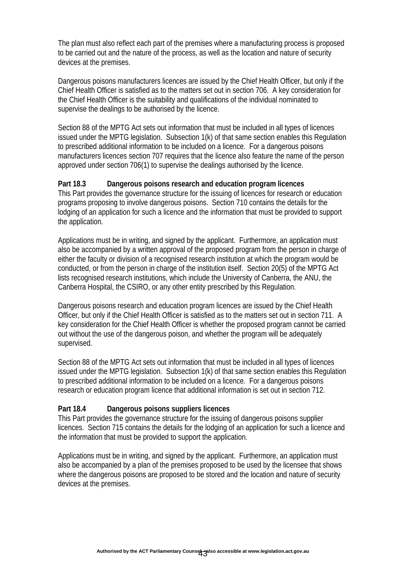The plan must also reflect each part of the premises where a manufacturing process is proposed to be carried out and the nature of the process, as well as the location and nature of security devices at the premises.

Dangerous poisons manufacturers licences are issued by the Chief Health Officer, but only if the Chief Health Officer is satisfied as to the matters set out in section 706. A key consideration for the Chief Health Officer is the suitability and qualifications of the individual nominated to supervise the dealings to be authorised by the licence.

Section 88 of the MPTG Act sets out information that must be included in all types of licences issued under the MPTG legislation. Subsection 1(k) of that same section enables this Regulation to prescribed additional information to be included on a licence. For a dangerous poisons manufacturers licences section 707 requires that the licence also feature the name of the person approved under section 706(1) to supervise the dealings authorised by the licence.

#### **Part 18.3 Dangerous poisons research and education program licences**

This Part provides the governance structure for the issuing of licences for research or education programs proposing to involve dangerous poisons. Section 710 contains the details for the lodging of an application for such a licence and the information that must be provided to support the application.

Applications must be in writing, and signed by the applicant. Furthermore, an application must also be accompanied by a written approval of the proposed program from the person in charge of either the faculty or division of a recognised research institution at which the program would be conducted, or from the person in charge of the institution itself. Section 20(5) of the MPTG Act lists recognised research institutions, which include the University of Canberra, the ANU, the Canberra Hospital, the CSIRO, or any other entity prescribed by this Regulation.

Dangerous poisons research and education program licences are issued by the Chief Health Officer, but only if the Chief Health Officer is satisfied as to the matters set out in section 711. A key consideration for the Chief Health Officer is whether the proposed program cannot be carried out without the use of the dangerous poison, and whether the program will be adequately supervised.

Section 88 of the MPTG Act sets out information that must be included in all types of licences issued under the MPTG legislation. Subsection 1(k) of that same section enables this Regulation to prescribed additional information to be included on a licence. For a dangerous poisons research or education program licence that additional information is set out in section 712.

#### **Part 18.4 Dangerous poisons suppliers licences**

This Part provides the governance structure for the issuing of dangerous poisons supplier licences. Section 715 contains the details for the lodging of an application for such a licence and the information that must be provided to support the application.

Applications must be in writing, and signed by the applicant. Furthermore, an application must also be accompanied by a plan of the premises proposed to be used by the licensee that shows where the dangerous poisons are proposed to be stored and the location and nature of security devices at the premises.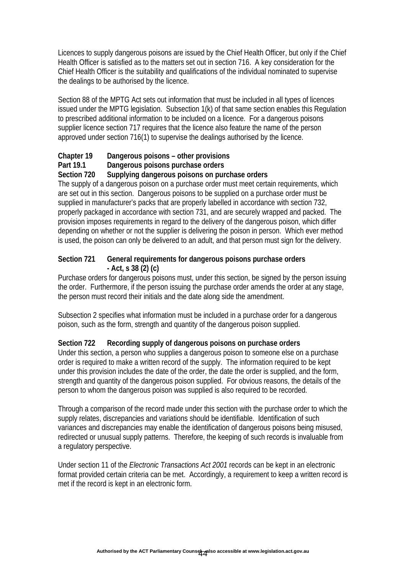Licences to supply dangerous poisons are issued by the Chief Health Officer, but only if the Chief Health Officer is satisfied as to the matters set out in section 716. A key consideration for the Chief Health Officer is the suitability and qualifications of the individual nominated to supervise the dealings to be authorised by the licence.

Section 88 of the MPTG Act sets out information that must be included in all types of licences issued under the MPTG legislation. Subsection 1(k) of that same section enables this Regulation to prescribed additional information to be included on a licence. For a dangerous poisons supplier licence section 717 requires that the licence also feature the name of the person approved under section 716(1) to supervise the dealings authorised by the licence.

## **Chapter 19 Dangerous poisons – other provisions**

### **Part 19.1 Dangerous poisons purchase orders**

### **Section 720 Supplying dangerous poisons on purchase orders**

The supply of a dangerous poison on a purchase order must meet certain requirements, which are set out in this section. Dangerous poisons to be supplied on a purchase order must be supplied in manufacturer's packs that are properly labelled in accordance with section 732, properly packaged in accordance with section 731, and are securely wrapped and packed. The provision imposes requirements in regard to the delivery of the dangerous poison, which differ depending on whether or not the supplier is delivering the poison in person. Which ever method is used, the poison can only be delivered to an adult, and that person must sign for the delivery.

#### **Section 721 General requirements for dangerous poisons purchase orders - Act, s 38 (2) (c)**

Purchase orders for dangerous poisons must, under this section, be signed by the person issuing the order. Furthermore, if the person issuing the purchase order amends the order at any stage, the person must record their initials and the date along side the amendment.

Subsection 2 specifies what information must be included in a purchase order for a dangerous poison, such as the form, strength and quantity of the dangerous poison supplied.

## **Section 722 Recording supply of dangerous poisons on purchase orders**

Under this section, a person who supplies a dangerous poison to someone else on a purchase order is required to make a written record of the supply. The information required to be kept under this provision includes the date of the order, the date the order is supplied, and the form, strength and quantity of the dangerous poison supplied. For obvious reasons, the details of the person to whom the dangerous poison was supplied is also required to be recorded.

Through a comparison of the record made under this section with the purchase order to which the supply relates, discrepancies and variations should be identifiable. Identification of such variances and discrepancies may enable the identification of dangerous poisons being misused, redirected or unusual supply patterns. Therefore, the keeping of such records is invaluable from a regulatory perspective.

Under section 11 of the *Electronic Transactions Act 2001* records can be kept in an electronic format provided certain criteria can be met. Accordingly, a requirement to keep a written record is met if the record is kept in an electronic form.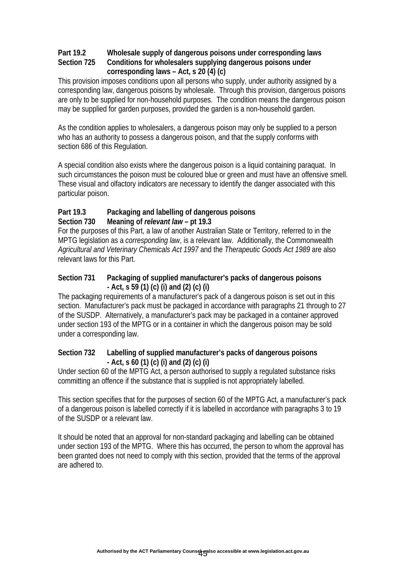### **Part 19.2 Wholesale supply of dangerous poisons under corresponding laws Section 725 Conditions for wholesalers supplying dangerous poisons under corresponding laws – Act, s 20 (4) (c)**

This provision imposes conditions upon all persons who supply, under authority assigned by a corresponding law, dangerous poisons by wholesale. Through this provision, dangerous poisons are only to be supplied for non-household purposes. The condition means the dangerous poison may be supplied for garden purposes, provided the garden is a non-household garden.

As the condition applies to wholesalers, a dangerous poison may only be supplied to a person who has an authority to possess a dangerous poison, and that the supply conforms with section 686 of this Regulation.

A special condition also exists where the dangerous poison is a liquid containing paraquat. In such circumstances the poison must be coloured blue or green and must have an offensive smell. These visual and olfactory indicators are necessary to identify the danger associated with this particular poison.

### **Part 19.3 Packaging and labelling of dangerous poisons Section 730 Meaning of** *relevant law* **– pt 19.3**

For the purposes of this Part, a law of another Australian State or Territory, referred to in the MPTG legislation as a *corresponding law*, is a relevant law. Additionally, the Commonwealth *Agricultural and Veterinary Chemicals Act 1997* and the *Therapeutic Goods Act 1989* are also relevant laws for this Part.

### **Section 731 Packaging of supplied manufacturer's packs of dangerous poisons - Act, s 59 (1) (c) (i) and (2) (c) (i)**

The packaging requirements of a manufacturer's pack of a dangerous poison is set out in this section. Manufacturer's pack must be packaged in accordance with paragraphs 21 through to 27 of the SUSDP. Alternatively, a manufacturer's pack may be packaged in a container approved under section 193 of the MPTG or in a container in which the dangerous poison may be sold under a corresponding law.

### **Section 732 Labelling of supplied manufacturer's packs of dangerous poisons - Act, s 60 (1) (c) (i) and (2) (c) (i)**

Under section 60 of the MPTG Act, a person authorised to supply a regulated substance risks committing an offence if the substance that is supplied is not appropriately labelled.

This section specifies that for the purposes of section 60 of the MPTG Act, a manufacturer's pack of a dangerous poison is labelled correctly if it is labelled in accordance with paragraphs 3 to 19 of the SUSDP or a relevant law.

It should be noted that an approval for non-standard packaging and labelling can be obtained under section 193 of the MPTG. Where this has occurred, the person to whom the approval has been granted does not need to comply with this section, provided that the terms of the approval are adhered to.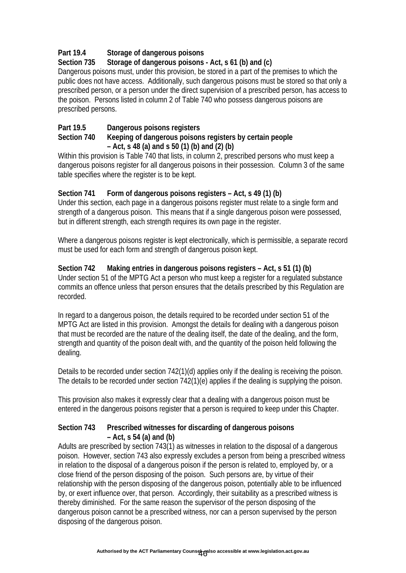# **Part 19.4 Storage of dangerous poisons**

# **Section 735 Storage of dangerous poisons - Act, s 61 (b) and (c)**

Dangerous poisons must, under this provision, be stored in a part of the premises to which the public does not have access. Additionally, such dangerous poisons must be stored so that only a prescribed person, or a person under the direct supervision of a prescribed person, has access to the poison. Persons listed in column 2 of Table 740 who possess dangerous poisons are prescribed persons.

# **Part 19.5 Dangerous poisons registers**

#### **Section 740 Keeping of dangerous poisons registers by certain people – Act, s 48 (a) and s 50 (1) (b) and (2) (b)**

Within this provision is Table 740 that lists, in column 2, prescribed persons who must keep a dangerous poisons register for all dangerous poisons in their possession. Column 3 of the same table specifies where the register is to be kept.

## **Section 741 Form of dangerous poisons registers – Act, s 49 (1) (b)**

Under this section, each page in a dangerous poisons register must relate to a single form and strength of a dangerous poison. This means that if a single dangerous poison were possessed, but in different strength, each strength requires its own page in the register.

Where a dangerous poisons register is kept electronically, which is permissible, a separate record must be used for each form and strength of dangerous poison kept.

### **Section 742 Making entries in dangerous poisons registers – Act, s 51 (1) (b)**

Under section 51 of the MPTG Act a person who must keep a register for a regulated substance commits an offence unless that person ensures that the details prescribed by this Regulation are recorded.

In regard to a dangerous poison, the details required to be recorded under section 51 of the MPTG Act are listed in this provision. Amongst the details for dealing with a dangerous poison that must be recorded are the nature of the dealing itself, the date of the dealing, and the form, strength and quantity of the poison dealt with, and the quantity of the poison held following the dealing.

Details to be recorded under section 742(1)(d) applies only if the dealing is receiving the poison. The details to be recorded under section 742(1)(e) applies if the dealing is supplying the poison.

This provision also makes it expressly clear that a dealing with a dangerous poison must be entered in the dangerous poisons register that a person is required to keep under this Chapter.

#### **Section 743 Prescribed witnesses for discarding of dangerous poisons – Act, s 54 (a) and (b)**

Adults are prescribed by section 743(1) as witnesses in relation to the disposal of a dangerous poison. However, section 743 also expressly excludes a person from being a prescribed witness in relation to the disposal of a dangerous poison if the person is related to, employed by, or a close friend of the person disposing of the poison. Such persons are, by virtue of their relationship with the person disposing of the dangerous poison, potentially able to be influenced by, or exert influence over, that person. Accordingly, their suitability as a prescribed witness is thereby diminished. For the same reason the supervisor of the person disposing of the dangerous poison cannot be a prescribed witness, nor can a person supervised by the person disposing of the dangerous poison.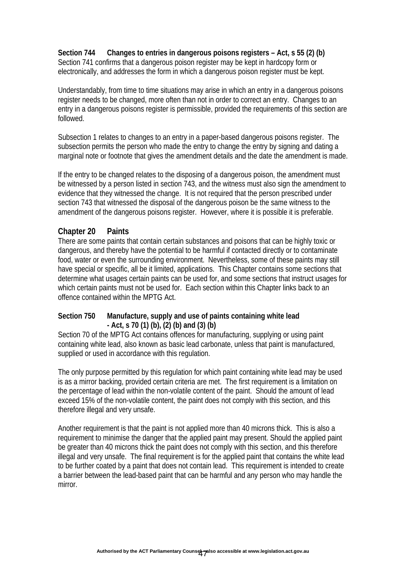**Section 744 Changes to entries in dangerous poisons registers – Act, s 55 (2) (b)**  Section 741 confirms that a dangerous poison register may be kept in hardcopy form or electronically, and addresses the form in which a dangerous poison register must be kept.

Understandably, from time to time situations may arise in which an entry in a dangerous poisons register needs to be changed, more often than not in order to correct an entry. Changes to an entry in a dangerous poisons register is permissible, provided the requirements of this section are followed.

Subsection 1 relates to changes to an entry in a paper-based dangerous poisons register. The subsection permits the person who made the entry to change the entry by signing and dating a marginal note or footnote that gives the amendment details and the date the amendment is made.

If the entry to be changed relates to the disposing of a dangerous poison, the amendment must be witnessed by a person listed in section 743, and the witness must also sign the amendment to evidence that they witnessed the change. It is not required that the person prescribed under section 743 that witnessed the disposal of the dangerous poison be the same witness to the amendment of the dangerous poisons register. However, where it is possible it is preferable.

## **Chapter 20 Paints**

There are some paints that contain certain substances and poisons that can be highly toxic or dangerous, and thereby have the potential to be harmful if contacted directly or to contaminate food, water or even the surrounding environment. Nevertheless, some of these paints may still have special or specific, all be it limited, applications. This Chapter contains some sections that determine what usages certain paints can be used for, and some sections that instruct usages for which certain paints must not be used for. Each section within this Chapter links back to an offence contained within the MPTG Act.

#### **Section 750 Manufacture, supply and use of paints containing white lead - Act, s 70 (1) (b), (2) (b) and (3) (b)**

Section 70 of the MPTG Act contains offences for manufacturing, supplying or using paint containing white lead, also known as basic lead carbonate, unless that paint is manufactured, supplied or used in accordance with this regulation.

The only purpose permitted by this regulation for which paint containing white lead may be used is as a mirror backing, provided certain criteria are met. The first requirement is a limitation on the percentage of lead within the non-volatile content of the paint. Should the amount of lead exceed 15% of the non-volatile content, the paint does not comply with this section, and this therefore illegal and very unsafe.

Another requirement is that the paint is not applied more than 40 microns thick. This is also a requirement to minimise the danger that the applied paint may present. Should the applied paint be greater than 40 microns thick the paint does not comply with this section, and this therefore illegal and very unsafe. The final requirement is for the applied paint that contains the white lead to be further coated by a paint that does not contain lead. This requirement is intended to create a barrier between the lead-based paint that can be harmful and any person who may handle the mirror.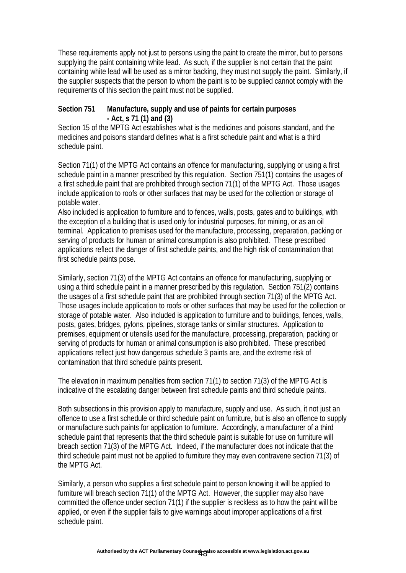These requirements apply not just to persons using the paint to create the mirror, but to persons supplying the paint containing white lead. As such, if the supplier is not certain that the paint containing white lead will be used as a mirror backing, they must not supply the paint. Similarly, if the supplier suspects that the person to whom the paint is to be supplied cannot comply with the requirements of this section the paint must not be supplied.

#### **Section 751 Manufacture, supply and use of paints for certain purposes - Act, s 71 (1) and (3)**

Section 15 of the MPTG Act establishes what is the medicines and poisons standard, and the medicines and poisons standard defines what is a first schedule paint and what is a third schedule paint.

Section 71(1) of the MPTG Act contains an offence for manufacturing, supplying or using a first schedule paint in a manner prescribed by this regulation. Section 751(1) contains the usages of a first schedule paint that are prohibited through section 71(1) of the MPTG Act. Those usages include application to roofs or other surfaces that may be used for the collection or storage of potable water.

Also included is application to furniture and to fences, walls, posts, gates and to buildings, with the exception of a building that is used only for industrial purposes, for mining, or as an oil terminal. Application to premises used for the manufacture, processing, preparation, packing or serving of products for human or animal consumption is also prohibited. These prescribed applications reflect the danger of first schedule paints, and the high risk of contamination that first schedule paints pose.

Similarly, section 71(3) of the MPTG Act contains an offence for manufacturing, supplying or using a third schedule paint in a manner prescribed by this regulation. Section 751(2) contains the usages of a first schedule paint that are prohibited through section 71(3) of the MPTG Act. Those usages include application to roofs or other surfaces that may be used for the collection or storage of potable water. Also included is application to furniture and to buildings, fences, walls, posts, gates, bridges, pylons, pipelines, storage tanks or similar structures. Application to premises, equipment or utensils used for the manufacture, processing, preparation, packing or serving of products for human or animal consumption is also prohibited. These prescribed applications reflect just how dangerous schedule 3 paints are, and the extreme risk of contamination that third schedule paints present.

The elevation in maximum penalties from section 71(1) to section 71(3) of the MPTG Act is indicative of the escalating danger between first schedule paints and third schedule paints.

Both subsections in this provision apply to manufacture, supply and use. As such, it not just an offence to use a first schedule or third schedule paint on furniture, but is also an offence to supply or manufacture such paints for application to furniture. Accordingly, a manufacturer of a third schedule paint that represents that the third schedule paint is suitable for use on furniture will breach section 71(3) of the MPTG Act. Indeed, if the manufacturer does not indicate that the third schedule paint must not be applied to furniture they may even contravene section 71(3) of the MPTG Act.

Similarly, a person who supplies a first schedule paint to person knowing it will be applied to furniture will breach section 71(1) of the MPTG Act. However, the supplier may also have committed the offence under section 71(1) if the supplier is reckless as to how the paint will be applied, or even if the supplier fails to give warnings about improper applications of a first schedule paint.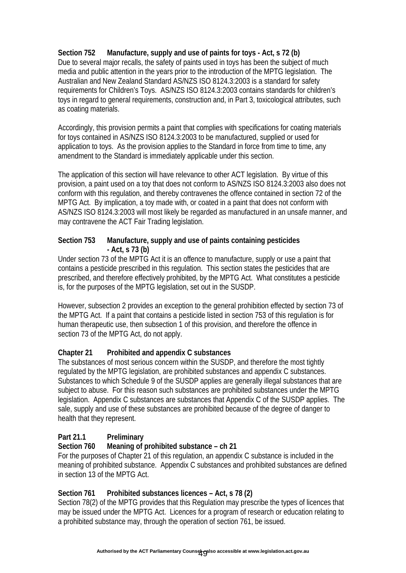## **Section 752 Manufacture, supply and use of paints for toys - Act, s 72 (b)**

Due to several major recalls, the safety of paints used in toys has been the subject of much media and public attention in the years prior to the introduction of the MPTG legislation. The Australian and New Zealand Standard AS/NZS ISO 8124.3:2003 is a standard for safety requirements for Children's Toys. AS/NZS ISO 8124.3:2003 contains standards for children's toys in regard to general requirements, construction and, in Part 3, toxicological attributes, such as coating materials.

Accordingly, this provision permits a paint that complies with specifications for coating materials for toys contained in AS/NZS ISO 8124.3:2003 to be manufactured, supplied or used for application to toys. As the provision applies to the Standard in force from time to time, any amendment to the Standard is immediately applicable under this section.

The application of this section will have relevance to other ACT legislation. By virtue of this provision, a paint used on a toy that does not conform to AS/NZS ISO 8124.3:2003 also does not conform with this regulation, and thereby contravenes the offence contained in section 72 of the MPTG Act. By implication, a toy made with, or coated in a paint that does not conform with AS/NZS ISO 8124.3:2003 will most likely be regarded as manufactured in an unsafe manner, and may contravene the ACT Fair Trading legislation.

## **Section 753 Manufacture, supply and use of paints containing pesticides - Act, s 73 (b)**

Under section 73 of the MPTG Act it is an offence to manufacture, supply or use a paint that contains a pesticide prescribed in this regulation. This section states the pesticides that are prescribed, and therefore effectively prohibited, by the MPTG Act. What constitutes a pesticide is, for the purposes of the MPTG legislation, set out in the SUSDP.

However, subsection 2 provides an exception to the general prohibition effected by section 73 of the MPTG Act. If a paint that contains a pesticide listed in section 753 of this regulation is for human therapeutic use, then subsection 1 of this provision, and therefore the offence in section 73 of the MPTG Act, do not apply.

## **Chapter 21 Prohibited and appendix C substances**

The substances of most serious concern within the SUSDP, and therefore the most tightly regulated by the MPTG legislation, are prohibited substances and appendix C substances. Substances to which Schedule 9 of the SUSDP applies are generally illegal substances that are subject to abuse. For this reason such substances are prohibited substances under the MPTG legislation. Appendix C substances are substances that Appendix C of the SUSDP applies. The sale, supply and use of these substances are prohibited because of the degree of danger to health that they represent.

## Part 21.1 Preliminary

## **Section 760 Meaning of prohibited substance – ch 21**

For the purposes of Chapter 21 of this regulation, an appendix C substance is included in the meaning of prohibited substance. Appendix C substances and prohibited substances are defined in section 13 of the MPTG Act.

## **Section 761 Prohibited substances licences – Act, s 78 (2)**

Section 78(2) of the MPTG provides that this Regulation may prescribe the types of licences that may be issued under the MPTG Act. Licences for a program of research or education relating to a prohibited substance may, through the operation of section 761, be issued.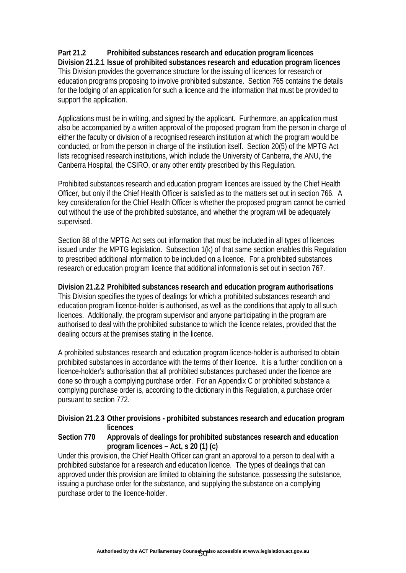#### **Part 21.2 Prohibited substances research and education program licences Division 21.2.1 Issue of prohibited substances research and education program licences**  This Division provides the governance structure for the issuing of licences for research or education programs proposing to involve prohibited substance. Section 765 contains the details for the lodging of an application for such a licence and the information that must be provided to support the application.

Applications must be in writing, and signed by the applicant. Furthermore, an application must also be accompanied by a written approval of the proposed program from the person in charge of either the faculty or division of a recognised research institution at which the program would be conducted, or from the person in charge of the institution itself. Section 20(5) of the MPTG Act lists recognised research institutions, which include the University of Canberra, the ANU, the Canberra Hospital, the CSIRO, or any other entity prescribed by this Regulation.

Prohibited substances research and education program licences are issued by the Chief Health Officer, but only if the Chief Health Officer is satisfied as to the matters set out in section 766. A key consideration for the Chief Health Officer is whether the proposed program cannot be carried out without the use of the prohibited substance, and whether the program will be adequately supervised.

Section 88 of the MPTG Act sets out information that must be included in all types of licences issued under the MPTG legislation. Subsection 1(k) of that same section enables this Regulation to prescribed additional information to be included on a licence. For a prohibited substances research or education program licence that additional information is set out in section 767.

**Division 21.2.2 Prohibited substances research and education program authorisations**  This Division specifies the types of dealings for which a prohibited substances research and education program licence-holder is authorised, as well as the conditions that apply to all such licences. Additionally, the program supervisor and anyone participating in the program are authorised to deal with the prohibited substance to which the licence relates, provided that the dealing occurs at the premises stating in the licence.

A prohibited substances research and education program licence-holder is authorised to obtain prohibited substances in accordance with the terms of their licence. It is a further condition on a licence-holder's authorisation that all prohibited substances purchased under the licence are done so through a complying purchase order. For an Appendix C or prohibited substance a complying purchase order is, according to the dictionary in this Regulation, a purchase order pursuant to section 772.

### **Division 21.2.3 Other provisions - prohibited substances research and education program licences**

#### **Section 770 Approvals of dealings for prohibited substances research and education program licences – Act, s 20 (1) (c)**

Under this provision, the Chief Health Officer can grant an approval to a person to deal with a prohibited substance for a research and education licence. The types of dealings that can approved under this provision are limited to obtaining the substance, possessing the substance, issuing a purchase order for the substance, and supplying the substance on a complying purchase order to the licence-holder.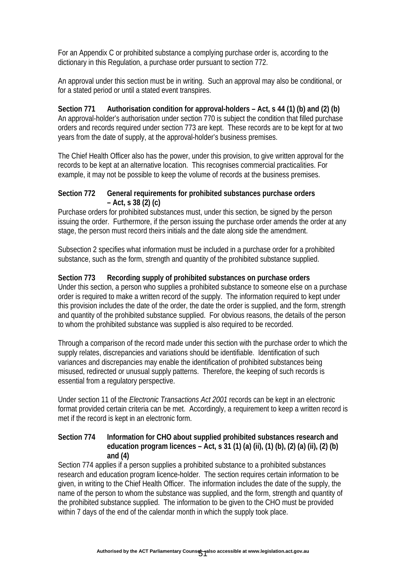For an Appendix C or prohibited substance a complying purchase order is, according to the dictionary in this Regulation, a purchase order pursuant to section 772.

An approval under this section must be in writing. Such an approval may also be conditional, or for a stated period or until a stated event transpires.

**Section 771 Authorisation condition for approval-holders – Act, s 44 (1) (b) and (2) (b)**  An approval-holder's authorisation under section 770 is subject the condition that filled purchase orders and records required under section 773 are kept. These records are to be kept for at two years from the date of supply, at the approval-holder's business premises.

The Chief Health Officer also has the power, under this provision, to give written approval for the records to be kept at an alternative location. This recognises commercial practicalities. For example, it may not be possible to keep the volume of records at the business premises.

#### **Section 772 General requirements for prohibited substances purchase orders – Act, s 38 (2) (c)**

Purchase orders for prohibited substances must, under this section, be signed by the person issuing the order. Furthermore, if the person issuing the purchase order amends the order at any stage, the person must record theirs initials and the date along side the amendment.

Subsection 2 specifies what information must be included in a purchase order for a prohibited substance, such as the form, strength and quantity of the prohibited substance supplied.

### **Section 773 Recording supply of prohibited substances on purchase orders**

Under this section, a person who supplies a prohibited substance to someone else on a purchase order is required to make a written record of the supply. The information required to kept under this provision includes the date of the order, the date the order is supplied, and the form, strength and quantity of the prohibited substance supplied. For obvious reasons, the details of the person to whom the prohibited substance was supplied is also required to be recorded.

Through a comparison of the record made under this section with the purchase order to which the supply relates, discrepancies and variations should be identifiable. Identification of such variances and discrepancies may enable the identification of prohibited substances being misused, redirected or unusual supply patterns. Therefore, the keeping of such records is essential from a regulatory perspective.

Under section 11 of the *Electronic Transactions Act 2001* records can be kept in an electronic format provided certain criteria can be met. Accordingly, a requirement to keep a written record is met if the record is kept in an electronic form.

### **Section 774 Information for CHO about supplied prohibited substances research and education program licences – Act, s 31 (1) (a) (ii), (1) (b), (2) (a) (ii), (2) (b) and (4)**

Section 774 applies if a person supplies a prohibited substance to a prohibited substances research and education program licence-holder. The section requires certain information to be given, in writing to the Chief Health Officer. The information includes the date of the supply, the name of the person to whom the substance was supplied, and the form, strength and quantity of the prohibited substance supplied. The information to be given to the CHO must be provided within 7 days of the end of the calendar month in which the supply took place.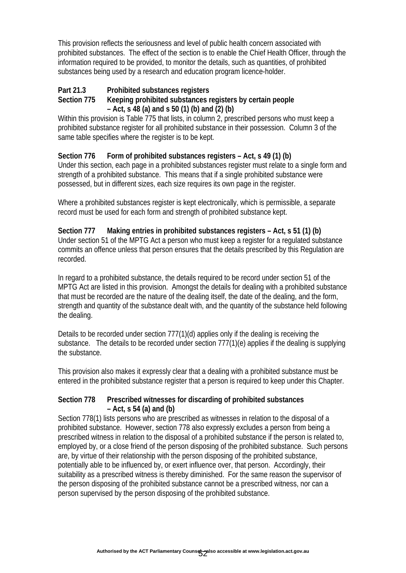This provision reflects the seriousness and level of public health concern associated with prohibited substances. The effect of the section is to enable the Chief Health Officer, through the information required to be provided, to monitor the details, such as quantities, of prohibited substances being used by a research and education program licence-holder.

# **Part 21.3 Prohibited substances registers**

#### **Section 775 Keeping prohibited substances registers by certain people – Act, s 48 (a) and s 50 (1) (b) and (2) (b)**

Within this provision is Table 775 that lists, in column 2, prescribed persons who must keep a prohibited substance register for all prohibited substance in their possession. Column 3 of the same table specifies where the register is to be kept.

## **Section 776 Form of prohibited substances registers – Act, s 49 (1) (b)**

Under this section, each page in a prohibited substances register must relate to a single form and strength of a prohibited substance. This means that if a single prohibited substance were possessed, but in different sizes, each size requires its own page in the register.

Where a prohibited substances register is kept electronically, which is permissible, a separate record must be used for each form and strength of prohibited substance kept.

#### **Section 777 Making entries in prohibited substances registers – Act, s 51 (1) (b)**  Under section 51 of the MPTG Act a person who must keep a register for a regulated substance commits an offence unless that person ensures that the details prescribed by this Regulation are recorded.

In regard to a prohibited substance, the details required to be record under section 51 of the MPTG Act are listed in this provision. Amongst the details for dealing with a prohibited substance that must be recorded are the nature of the dealing itself, the date of the dealing, and the form, strength and quantity of the substance dealt with, and the quantity of the substance held following the dealing.

Details to be recorded under section 777(1)(d) applies only if the dealing is receiving the substance. The details to be recorded under section 777(1)(e) applies if the dealing is supplying the substance.

This provision also makes it expressly clear that a dealing with a prohibited substance must be entered in the prohibited substance register that a person is required to keep under this Chapter.

## **Section 778 Prescribed witnesses for discarding of prohibited substances – Act, s 54 (a) and (b)**

Section 778(1) lists persons who are prescribed as witnesses in relation to the disposal of a prohibited substance. However, section 778 also expressly excludes a person from being a prescribed witness in relation to the disposal of a prohibited substance if the person is related to, employed by, or a close friend of the person disposing of the prohibited substance. Such persons are, by virtue of their relationship with the person disposing of the prohibited substance, potentially able to be influenced by, or exert influence over, that person. Accordingly, their suitability as a prescribed witness is thereby diminished. For the same reason the supervisor of the person disposing of the prohibited substance cannot be a prescribed witness, nor can a person supervised by the person disposing of the prohibited substance.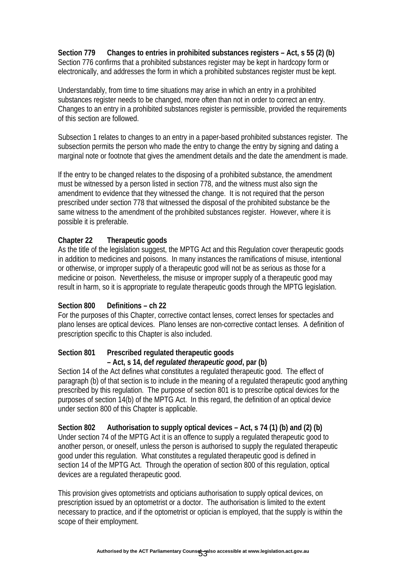**Section 779 Changes to entries in prohibited substances registers – Act, s 55 (2) (b)**  Section 776 confirms that a prohibited substances register may be kept in hardcopy form or electronically, and addresses the form in which a prohibited substances register must be kept.

Understandably, from time to time situations may arise in which an entry in a prohibited substances register needs to be changed, more often than not in order to correct an entry. Changes to an entry in a prohibited substances register is permissible, provided the requirements of this section are followed.

Subsection 1 relates to changes to an entry in a paper-based prohibited substances register. The subsection permits the person who made the entry to change the entry by signing and dating a marginal note or footnote that gives the amendment details and the date the amendment is made.

If the entry to be changed relates to the disposing of a prohibited substance, the amendment must be witnessed by a person listed in section 778, and the witness must also sign the amendment to evidence that they witnessed the change. It is not required that the person prescribed under section 778 that witnessed the disposal of the prohibited substance be the same witness to the amendment of the prohibited substances register. However, where it is possible it is preferable.

### **Chapter 22 Therapeutic goods**

As the title of the legislation suggest, the MPTG Act and this Regulation cover therapeutic goods in addition to medicines and poisons. In many instances the ramifications of misuse, intentional or otherwise, or improper supply of a therapeutic good will not be as serious as those for a medicine or poison. Nevertheless, the misuse or improper supply of a therapeutic good may result in harm, so it is appropriate to regulate therapeutic goods through the MPTG legislation.

#### **Section 800 Definitions – ch 22**

For the purposes of this Chapter, corrective contact lenses, correct lenses for spectacles and plano lenses are optical devices. Plano lenses are non-corrective contact lenses. A definition of prescription specific to this Chapter is also included.

#### **Section 801 Prescribed regulated therapeutic goods – Act, s 14, def** *regulated therapeutic good***, par (b)**

Section 14 of the Act defines what constitutes a regulated therapeutic good. The effect of paragraph (b) of that section is to include in the meaning of a regulated therapeutic good anything prescribed by this regulation. The purpose of section 801 is to prescribe optical devices for the purposes of section 14(b) of the MPTG Act. In this regard, the definition of an optical device under section 800 of this Chapter is applicable.

**Section 802 Authorisation to supply optical devices – Act, s 74 (1) (b) and (2) (b)**  Under section 74 of the MPTG Act it is an offence to supply a regulated therapeutic good to another person, or oneself, unless the person is authorised to supply the regulated therapeutic good under this regulation. What constitutes a regulated therapeutic good is defined in section 14 of the MPTG Act. Through the operation of section 800 of this regulation, optical devices are a regulated therapeutic good.

This provision gives optometrists and opticians authorisation to supply optical devices, on prescription issued by an optometrist or a doctor. The authorisation is limited to the extent necessary to practice, and if the optometrist or optician is employed, that the supply is within the scope of their employment.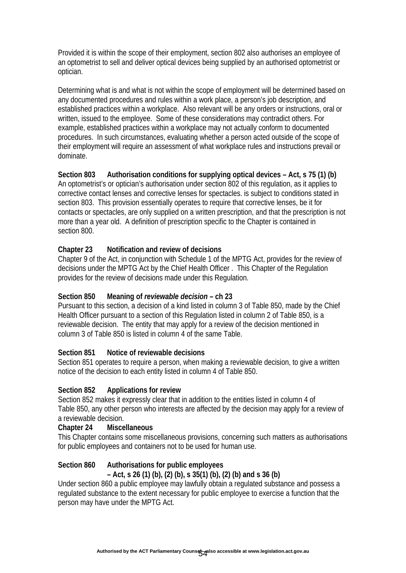Provided it is within the scope of their employment, section 802 also authorises an employee of an optometrist to sell and deliver optical devices being supplied by an authorised optometrist or optician.

Determining what is and what is not within the scope of employment will be determined based on any documented procedures and rules within a work place, a person's job description, and established practices within a workplace. Also relevant will be any orders or instructions, oral or written, issued to the employee. Some of these considerations may contradict others. For example, established practices within a workplace may not actually conform to documented procedures. In such circumstances, evaluating whether a person acted outside of the scope of their employment will require an assessment of what workplace rules and instructions prevail or dominate.

**Section 803 Authorisation conditions for supplying optical devices – Act, s 75 (1) (b)**  An optometrist's or optician's authorisation under section 802 of this regulation, as it applies to corrective contact lenses and corrective lenses for spectacles. is subject to conditions stated in section 803. This provision essentially operates to require that corrective lenses, be it for contacts or spectacles, are only supplied on a written prescription, and that the prescription is not more than a year old. A definition of prescription specific to the Chapter is contained in section 800.

### **Chapter 23 Notification and review of decisions**

Chapter 9 of the Act, in conjunction with Schedule 1 of the MPTG Act, provides for the review of decisions under the MPTG Act by the Chief Health Officer . This Chapter of the Regulation provides for the review of decisions made under this Regulation.

#### **Section 850 Meaning of** *reviewable decision* **– ch 23**

Pursuant to this section, a decision of a kind listed in column 3 of Table 850, made by the Chief Health Officer pursuant to a section of this Regulation listed in column 2 of Table 850, is a reviewable decision. The entity that may apply for a review of the decision mentioned in column 3 of Table 850 is listed in column 4 of the same Table.

#### **Section 851 Notice of reviewable decisions**

Section 851 operates to require a person, when making a reviewable decision, to give a written notice of the decision to each entity listed in column 4 of Table 850.

#### **Section 852 Applications for review**

Section 852 makes it expressly clear that in addition to the entities listed in column 4 of Table 850, any other person who interests are affected by the decision may apply for a review of a reviewable decision.

#### **Chapter 24 Miscellaneous**

This Chapter contains some miscellaneous provisions, concerning such matters as authorisations for public employees and containers not to be used for human use.

#### **Section 860 Authorisations for public employees**

#### **– Act, s 26 (1) (b), (2) (b), s 35(1) (b), (2) (b) and s 36 (b)**

Under section 860 a public employee may lawfully obtain a regulated substance and possess a regulated substance to the extent necessary for public employee to exercise a function that the person may have under the MPTG Act.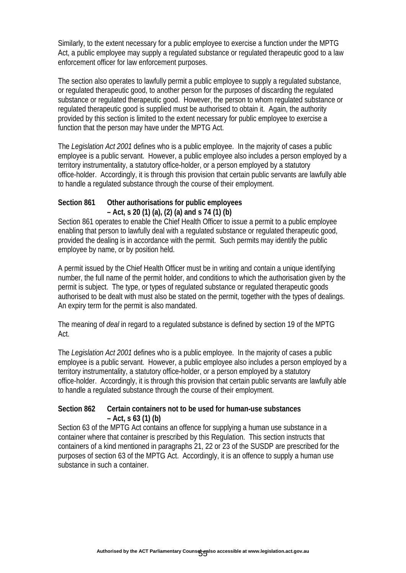Similarly, to the extent necessary for a public employee to exercise a function under the MPTG Act, a public employee may supply a regulated substance or regulated therapeutic good to a law enforcement officer for law enforcement purposes.

The section also operates to lawfully permit a public employee to supply a regulated substance, or regulated therapeutic good, to another person for the purposes of discarding the regulated substance or regulated therapeutic good. However, the person to whom regulated substance or regulated therapeutic good is supplied must be authorised to obtain it. Again, the authority provided by this section is limited to the extent necessary for public employee to exercise a function that the person may have under the MPTG Act.

The *Legislation Act 2001* defines who is a public employee. In the majority of cases a public employee is a public servant. However, a public employee also includes a person employed by a territory instrumentality, a statutory office-holder, or a person employed by a statutory office-holder. Accordingly, it is through this provision that certain public servants are lawfully able to handle a regulated substance through the course of their employment.

### **Section 861 Other authorisations for public employees – Act, s 20 (1) (a), (2) (a) and s 74 (1) (b)**

Section 861 operates to enable the Chief Health Officer to issue a permit to a public employee enabling that person to lawfully deal with a regulated substance or regulated therapeutic good, provided the dealing is in accordance with the permit. Such permits may identify the public employee by name, or by position held.

A permit issued by the Chief Health Officer must be in writing and contain a unique identifying number, the full name of the permit holder, and conditions to which the authorisation given by the permit is subject. The type, or types of regulated substance or regulated therapeutic goods authorised to be dealt with must also be stated on the permit, together with the types of dealings. An expiry term for the permit is also mandated.

The meaning of *deal* in regard to a regulated substance is defined by section 19 of the MPTG Act.

The *Legislation Act 2001* defines who is a public employee. In the majority of cases a public employee is a public servant. However, a public employee also includes a person employed by a territory instrumentality, a statutory office-holder, or a person employed by a statutory office-holder. Accordingly, it is through this provision that certain public servants are lawfully able to handle a regulated substance through the course of their employment.

#### **Section 862 Certain containers not to be used for human-use substances – Act, s 63 (1) (b)**

Section 63 of the MPTG Act contains an offence for supplying a human use substance in a container where that container is prescribed by this Regulation. This section instructs that containers of a kind mentioned in paragraphs 21, 22 or 23 of the SUSDP are prescribed for the purposes of section 63 of the MPTG Act. Accordingly, it is an offence to supply a human use substance in such a container.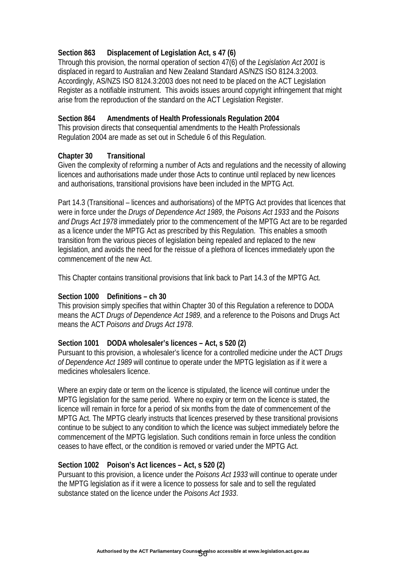### **Section 863 Displacement of Legislation Act, s 47 (6)**

Through this provision, the normal operation of section 47(6) of the *Legislation Act 2001* is displaced in regard to Australian and New Zealand Standard AS/NZS ISO 8124.3:2003. Accordingly, AS/NZS ISO 8124.3:2003 does not need to be placed on the ACT Legislation Register as a notifiable instrument. This avoids issues around copyright infringement that might arise from the reproduction of the standard on the ACT Legislation Register.

#### **Section 864 Amendments of Health Professionals Regulation 2004**

This provision directs that consequential amendments to the Health Professionals Regulation 2004 are made as set out in Schedule 6 of this Regulation.

#### **Chapter 30 Transitional**

Given the complexity of reforming a number of Acts and regulations and the necessity of allowing licences and authorisations made under those Acts to continue until replaced by new licences and authorisations, transitional provisions have been included in the MPTG Act.

Part 14.3 (Transitional – licences and authorisations) of the MPTG Act provides that licences that were in force under the *Drugs of Dependence Act 1989*, the *Poisons Act 1933* and the *Poisons and Drugs Act 1978* immediately prior to the commencement of the MPTG Act are to be regarded as a licence under the MPTG Act as prescribed by this Regulation. This enables a smooth transition from the various pieces of legislation being repealed and replaced to the new legislation, and avoids the need for the reissue of a plethora of licences immediately upon the commencement of the new Act.

This Chapter contains transitional provisions that link back to Part 14.3 of the MPTG Act.

#### **Section 1000 Definitions – ch 30**

This provision simply specifies that within Chapter 30 of this Regulation a reference to DODA means the ACT *Drugs of Dependence Act 1989*, and a reference to the Poisons and Drugs Act means the ACT *Poisons and Drugs Act 1978*.

#### **Section 1001 DODA wholesaler's licences – Act, s 520 (2)**

Pursuant to this provision, a wholesaler's licence for a controlled medicine under the ACT *Drugs of Dependence Act 1989* will continue to operate under the MPTG legislation as if it were a medicines wholesalers licence.

Where an expiry date or term on the licence is stipulated, the licence will continue under the MPTG legislation for the same period. Where no expiry or term on the licence is stated, the licence will remain in force for a period of six months from the date of commencement of the MPTG Act. The MPTG clearly instructs that licences preserved by these transitional provisions continue to be subject to any condition to which the licence was subject immediately before the commencement of the MPTG legislation. Such conditions remain in force unless the condition ceases to have effect, or the condition is removed or varied under the MPTG Act.

#### **Section 1002 Poison's Act licences – Act, s 520 (2)**

Pursuant to this provision, a licence under the *Poisons Act 1933* will continue to operate under the MPTG legislation as if it were a licence to possess for sale and to sell the regulated substance stated on the licence under the *Poisons Act 1933*.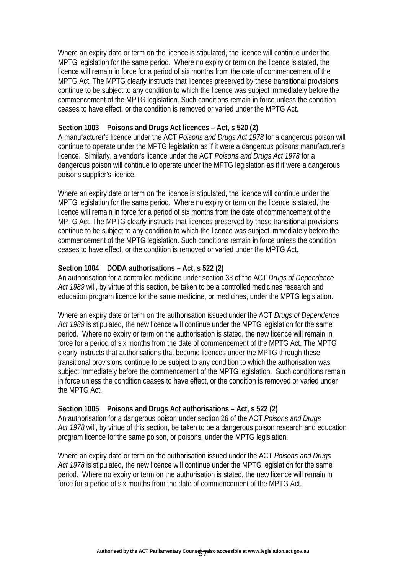Where an expiry date or term on the licence is stipulated, the licence will continue under the MPTG legislation for the same period. Where no expiry or term on the licence is stated, the licence will remain in force for a period of six months from the date of commencement of the MPTG Act. The MPTG clearly instructs that licences preserved by these transitional provisions continue to be subject to any condition to which the licence was subject immediately before the commencement of the MPTG legislation. Such conditions remain in force unless the condition ceases to have effect, or the condition is removed or varied under the MPTG Act.

#### **Section 1003 Poisons and Drugs Act licences – Act, s 520 (2)**

A manufacturer's licence under the ACT *Poisons and Drugs Act 1978* for a dangerous poison will continue to operate under the MPTG legislation as if it were a dangerous poisons manufacturer's licence. Similarly, a vendor's licence under the ACT *Poisons and Drugs Act 1978* for a dangerous poison will continue to operate under the MPTG legislation as if it were a dangerous poisons supplier's licence.

Where an expiry date or term on the licence is stipulated, the licence will continue under the MPTG legislation for the same period. Where no expiry or term on the licence is stated, the licence will remain in force for a period of six months from the date of commencement of the MPTG Act. The MPTG clearly instructs that licences preserved by these transitional provisions continue to be subject to any condition to which the licence was subject immediately before the commencement of the MPTG legislation. Such conditions remain in force unless the condition ceases to have effect, or the condition is removed or varied under the MPTG Act.

#### **Section 1004 DODA authorisations – Act, s 522 (2)**

An authorisation for a controlled medicine under section 33 of the ACT *Drugs of Dependence Act 1989* will, by virtue of this section, be taken to be a controlled medicines research and education program licence for the same medicine, or medicines, under the MPTG legislation.

Where an expiry date or term on the authorisation issued under the ACT *Drugs of Dependence Act 1989* is stipulated, the new licence will continue under the MPTG legislation for the same period. Where no expiry or term on the authorisation is stated, the new licence will remain in force for a period of six months from the date of commencement of the MPTG Act. The MPTG clearly instructs that authorisations that become licences under the MPTG through these transitional provisions continue to be subject to any condition to which the authorisation was subject immediately before the commencement of the MPTG legislation. Such conditions remain in force unless the condition ceases to have effect, or the condition is removed or varied under the MPTG Act.

#### **Section 1005 Poisons and Drugs Act authorisations – Act, s 522 (2)**

An authorisation for a dangerous poison under section 26 of the ACT *Poisons and Drugs Act 1978* will, by virtue of this section, be taken to be a dangerous poison research and education program licence for the same poison, or poisons, under the MPTG legislation.

Where an expiry date or term on the authorisation issued under the ACT *Poisons and Drugs*  Act 1978 is stipulated, the new licence will continue under the MPTG legislation for the same period. Where no expiry or term on the authorisation is stated, the new licence will remain in force for a period of six months from the date of commencement of the MPTG Act.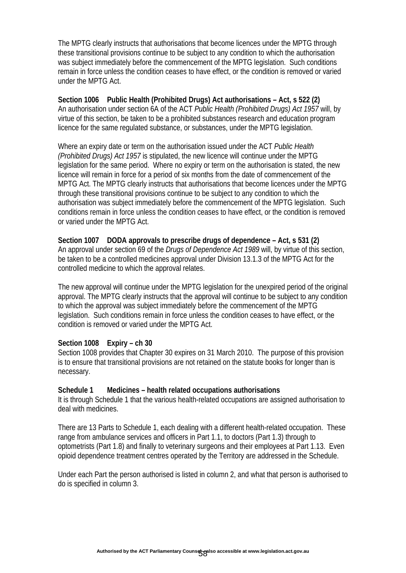The MPTG clearly instructs that authorisations that become licences under the MPTG through these transitional provisions continue to be subject to any condition to which the authorisation was subject immediately before the commencement of the MPTG legislation. Such conditions remain in force unless the condition ceases to have effect, or the condition is removed or varied under the MPTG Act.

**Section 1006 Public Health (Prohibited Drugs) Act authorisations – Act, s 522 (2)**  An authorisation under section 6A of the ACT *Public Health (Prohibited Drugs) Act 1957* will, by virtue of this section, be taken to be a prohibited substances research and education program licence for the same regulated substance, or substances, under the MPTG legislation.

Where an expiry date or term on the authorisation issued under the ACT *Public Health (Prohibited Drugs) Act 1957* is stipulated, the new licence will continue under the MPTG legislation for the same period. Where no expiry or term on the authorisation is stated, the new licence will remain in force for a period of six months from the date of commencement of the MPTG Act. The MPTG clearly instructs that authorisations that become licences under the MPTG through these transitional provisions continue to be subject to any condition to which the authorisation was subject immediately before the commencement of the MPTG legislation. Such conditions remain in force unless the condition ceases to have effect, or the condition is removed or varied under the MPTG Act.

**Section 1007 DODA approvals to prescribe drugs of dependence – Act, s 531 (2)**  An approval under section 69 of the *Drugs of Dependence Act 1989* will, by virtue of this section, be taken to be a controlled medicines approval under Division 13.1.3 of the MPTG Act for the controlled medicine to which the approval relates.

The new approval will continue under the MPTG legislation for the unexpired period of the original approval. The MPTG clearly instructs that the approval will continue to be subject to any condition to which the approval was subject immediately before the commencement of the MPTG legislation. Such conditions remain in force unless the condition ceases to have effect, or the condition is removed or varied under the MPTG Act.

#### **Section 1008 Expiry – ch 30**

Section 1008 provides that Chapter 30 expires on 31 March 2010. The purpose of this provision is to ensure that transitional provisions are not retained on the statute books for longer than is necessary.

#### **Schedule 1 Medicines – health related occupations authorisations**

It is through Schedule 1 that the various health-related occupations are assigned authorisation to deal with medicines.

There are 13 Parts to Schedule 1, each dealing with a different health-related occupation. These range from ambulance services and officers in Part 1.1, to doctors (Part 1.3) through to optometrists (Part 1.8) and finally to veterinary surgeons and their employees at Part 1.13. Even opioid dependence treatment centres operated by the Territory are addressed in the Schedule.

Under each Part the person authorised is listed in column 2, and what that person is authorised to do is specified in column 3.